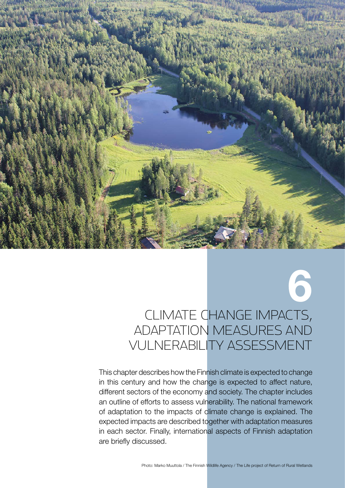

# Climate change impacts, adaptation measures and vulnerability assessment

6

This chapter describes how the Finnish climate is expected to change in this century and how the change is expected to affect nature, different sectors of the economy and society. The chapter includes an outline of efforts to assess vulnerability. The national framework of adaptation to the impacts of climate change is explained. The expected impacts are described together with adaptation measures in each sector. Finally, international aspects of Finnish adaptation are briefly discussed.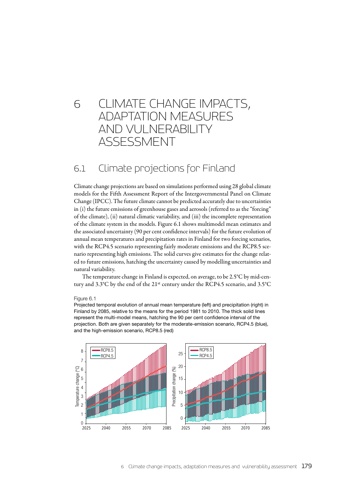# 6 Climate change impacts, adaptation measures and vulnerability assessment

# 6.1 Climate projections for Finland

Climate change projections are based on simulations performed using 28 global climate models for the Fifth Assessment Report of the Intergovernmental Panel on Climate Change (IPCC). The future climate cannot be predicted accurately due to uncertainties in (i) the future emissions of greenhouse gases and aerosols (referred to as the "forcing" of the climate), (ii) natural climatic variability, and (iii) the incomplete representation of the climate system in the models. Figure 6.1 shows multimodel mean estimates and the associated uncertainty (90 per cent confidence intervals) for the future evolution of annual mean temperatures and precipitation rates in Finland for two forcing scenarios, with the RCP4.5 scenario representing fairly moderate emissions and the RCP8.5 scenario representing high emissions. The solid curves give estimates for the change related to future emissions, hatching the uncertainty caused by modelling uncertainties and natural variability.

The temperature change in Finland is expected, on average, to be 2.5°C by mid-century and 3.3°C by the end of the 21st century under the RCP4.5 scenario, and 3.5°C

#### Figure 6.1

Projected temporal evolution of annual mean temperature (left) and precipitation (right) in Finland by 2085, relative to the means for the period 1981 to 2010. The thick solid lines represent the multi-model means, hatching the 90 per cent confidence interval of the projection. Both are given separately for the moderate-emission scenario, RCP4.5 (blue), and the high-emission scenario, RCP8.5 (red)

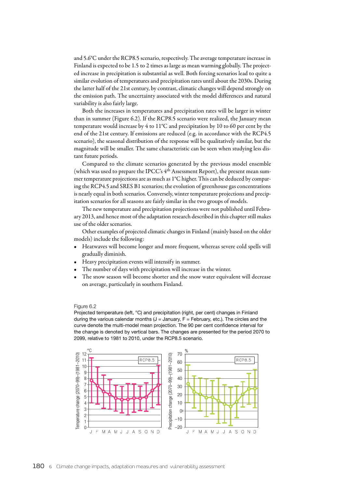and 5.6°C under the RCP8.5 scenario, respectively. The average temperature increase in Finland is expected to be 1.5 to 2 times as large as mean warming globally. The projected increase in precipitation is substantial as well. Both forcing scenarios lead to quite a similar evolution of temperatures and precipitation rates until about the 2030s. During the latter half of the 21st century, by contrast, climatic changes will depend strongly on the emission path. The uncertainty associated with the model differences and natural variability is also fairly large.

Both the increases in temperatures and precipitation rates will be larger in winter than in summer (Figure 6.2). If the RCP8.5 scenario were realized, the January mean temperature would increase by 4 to 11°C and precipitation by 10 to 60 per cent by the end of the 21st century. If emissions are reduced (e.g. in accordance with the RCP4.5 scenario), the seasonal distribution of the response will be qualitatively similar, but the magnitude will be smaller. The same characteristic can be seen when studying less distant future periods.

Compared to the climate scenarios generated by the previous model ensemble (which was used to prepare the IPCC's  $4<sup>th</sup>$  Assessment Report), the present mean summer temperature projections are as much as 1°C higher. This can be deduced by comparing the RCP4.5 and SRES B1 scenarios; the evolution of greenhouse gas concentrations is nearly equal in both scenarios. Conversely, winter temperature projections and precipitation scenarios for all seasons are fairly similar in the two groups of models.

The new temperature and precipitation projections were not published until February 2013, and hence most of the adaptation research described in this chapter still makes use of the older scenarios.

Other examples of projected climatic changes in Finland (mainly based on the older models) include the following:

- Heatwaves will become longer and more frequent, whereas severe cold spells will gradually diminish.
- Heavy precipitation events will intensify in summer.
- The number of days with precipitation will increase in the winter.
- The snow season will become shorter and the snow water equivalent will decrease on average, particularly in southern Finland.

#### Figure 6.2

Projected temperature (left, °C) and precipitation (right, per cent) changes in Finland during the various calendar months  $(J = January, F = February, etc.).$  The circles and the curve denote the multi-model mean projection. The 90 per cent confidence interval for the change is denoted by vertical bars. The changes are presented for the period 2070 to 2099, relative to 1981 to 2010, under the RCP8.5 scenario.

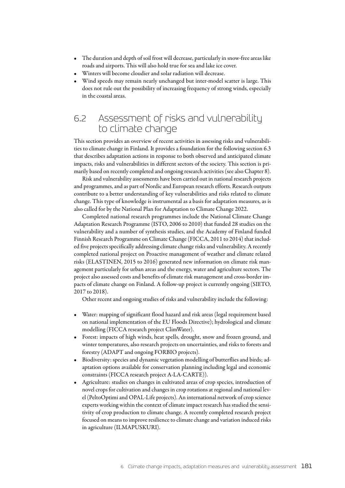- The duration and depth of soil frost will decrease, particularly in snow-free areas like roads and airports. This will also hold true for sea and lake ice cover.
- Winters will become cloudier and solar radiation will decrease.
- Wind speeds may remain nearly unchanged but inter-model scatter is large. This does not rule out the possibility of increasing frequency of strong winds, especially in the coastal areas.

# 6.2 Assessment of risks and vulnerability to climate change

This section provides an overview of recent activities in assessing risks and vulnerabilities to climate change in Finland. It provides a foundation for the following section 6.3 that describes adaptation actions in response to both observed and anticipated climate impacts, risks and vulnerabilities in different sectors of the society. This section is primarily based on recently completed and ongoing research activities (see also Chapter 8).

Risk and vulnerability assessments have been carried out in national research projects and programmes, and as part of Nordic and European research efforts. Research outputs contribute to a better understanding of key vulnerabilities and risks related to climate change. This type of knowledge is instrumental as a basis for adaptation measures, as is also called for by the National Plan for Adaptation to Climate Change 2022.

Completed national research programmes include the National Climate Change Adaptation Research Programme (ISTO, 2006 to 2010) that funded 28 studies on the vulnerability and a number of synthesis studies, and the Academy of Finland funded Finnish Research Programme on Climate Change (FICCA, 2011 to 2014) that included five projects specifically addressing climate change risks and vulnerability. A recently completed national project on Proactive management of weather and climate related risks (ELASTINEN, 2015 to 2016) generated new information on climate risk management particularly for urban areas and the energy, water and agriculture sectors. The project also assessed costs and benefits of climate risk management and cross-border impacts of climate change on Finland. A follow-up project is currently ongoing (SIETO, 2017 to 2018).

Other recent and ongoing studies of risks and vulnerability include the following:

- Water: mapping of significant flood hazard and risk areas (legal requirement based on national implementation of the EU Floods Directive); hydrological and climate modelling (FICCA research project ClimWater).
- Forest: impacts of high winds, heat spells, drought, snow and frozen ground, and winter temperatures, also research projects on uncertainties, and risks to forests and forestry (ADAPT and ongoing FORBIO projects).
- Biodiversity: species and dynamic vegetation modelling of butterflies and birds; adaptation options available for conservation planning including legal and economic constraints (FICCA research project A-LA-CARTE)).
- Agriculture: studies on changes in cultivated areas of crop species, introduction of novel crops for cultivation and changes in crop rotations at regional and national level (PeltoOptimi and OPAL-Life projects). An international network of crop science experts working within the context of climate impact research has studied the sensitivity of crop production to climate change. A recently completed research project focused on means to improve resilience to climate change and variation induced risks in agriculture (ILMAPUSKURI).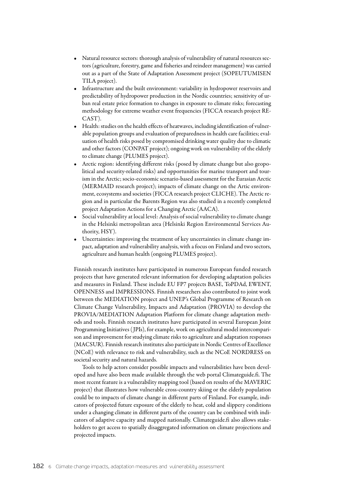- Natural resource sectors: thorough analysis of vulnerability of natural resources sectors (agriculture, forestry, game and fisheries and reindeer management) was carried out as a part of the State of Adaptation Assessment project (SOPEUTUMISEN TILA project).
- Infrastructure and the built environment: variability in hydropower reservoirs and predictability of hydropower production in the Nordic countries; sensitivity of urban real estate price formation to changes in exposure to climate risks; forecasting methodology for extreme weather event frequencies (FICCA research project RE-CAST).
- Health: studies on the health effects of heatwaves, including identification of vulnerable population groups and evaluation of preparedness in health care facilities; evaluation of health risks posed by compromised drinking water quality due to climatic and other factors (CONPAT project); ongoing work on vulnerability of the elderly to climate change (PLUMES project).
- Arctic region: identifying different risks (posed by climate change but also geopolitical and security-related risks) and opportunities for marine transport and tourism in the Arctic; socio-economic scenario-based assessment for the Eurasian Arctic (MERMAID research project); impacts of climate change on the Artic environment, ecosystems and societies (FICCA research project CLICHE). The Arctic region and in particular the Barents Region was also studied in a recently completed project Adaptation Actions for a Changing Arctic (AACA).
- Social vulnerability at local level: Analysis of social vulnerability to climate change in the Helsinki metropolitan area (Helsinki Region Environmental Services Authority, HSY).
- Uncertainties: improving the treatment of key uncertainties in climate change impact, adaptation and vulnerability analysis, with a focus on Finland and two sectors, agriculture and human health (ongoing PLUMES project).

Finnish research institutes have participated in numerous European funded research projects that have generated relevant information for developing adaptation policies and measures in Finland. These include EU FP7 projects BASE, ToPDAd, EWENT, OPENNESS and IMPRESSIONS. Finnish researchers also contributed to joint work between the MEDIATION project and UNEP's Global Programme of Research on Climate Change Vulnerability, Impacts and Adaptation (PROVIA) to develop the PROVIA/MEDIATION Adaptation Platform for climate change adaptation methods and tools. Finnish research institutes have participated in several European Joint Programming Initiatives ( JPIs), for example, work on agricultural model intercomparison and improvement for studying climate risks to agriculture and adaptation responses (MACSUR). Finnish research institutes also participate in Nordic Centres of Excellence (NCoE) with relevance to risk and vulnerability, such as the NCoE NORDRESS on societal security and natural hazards.

Tools to help actors consider possible impacts and vulnerabilities have been developed and have also been made available through the web portal Climateguide.fi. The most recent feature is a vulnerability mapping tool (based on results of the MAVERIC project) that illustrates how vulnerable cross-country skiing or the elderly population could be to impacts of climate change in different parts of Finland. For example, indicators of projected future exposure of the elderly to heat, cold and slippery conditions under a changing climate in different parts of the country can be combined with indicators of adaptive capacity and mapped nationally. Climateguide.fi also allows stakeholders to get access to spatially disaggregated information on climate projections and projected impacts.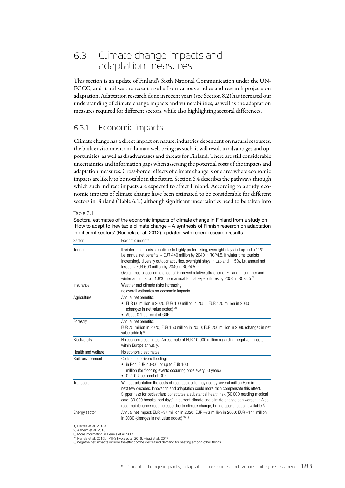# 6.3 Climate change impacts and adaptation measures

This section is an update of Finland's Sixth National Communication under the UN-FCCC, and it utilises the recent results from various studies and research projects on adaptation. Adaptation research done in recent years (see Section 8.2) has increased our understanding of climate change impacts and vulnerabilities, as well as the adaptation measures required for different sectors, while also highlighting sectoral differences.

## 6.3.1 Economic impacts

Climate change has a direct impact on nature, industries dependent on natural resources, the built environment and human well-being; as such, it will result in advantages and opportunities, as well as disadvantages and threats for Finland. There are still considerable uncertainties and information gaps when assessing the potential costs of the impacts and adaptation measures. Cross-border effects of climate change is one area where economic impacts are likely to be notable in the future. Section 6.4 describes the pathways through which such indirect impacts are expected to affect Finland. According to a study, economic impacts of climate change have been estimated to be considerable for different sectors in Finland (Table 6.1.) although significant uncertainties need to be taken into

Table 6.1

Sectoral estimates of the economic impacts of climate change in Finland from a study on 'How to adapt to inevitable climate change – A synthesis of Finnish research on adaptation in different sectors' (Ruuhela et al. 2012), updated with recent research results.

| Sector                                           | Economic impacts                                                                                                                                                                                                                                                                                                                                                                                                                                                                                                                              |  |  |
|--------------------------------------------------|-----------------------------------------------------------------------------------------------------------------------------------------------------------------------------------------------------------------------------------------------------------------------------------------------------------------------------------------------------------------------------------------------------------------------------------------------------------------------------------------------------------------------------------------------|--|--|
| Tourism                                          | If winter time tourists continue to highly prefer skiing, overnight stays in Lapland +11%,<br>i.e. annual net benefits ~ EUR 440 million by 2040 in RCP4.5. If winter time tourists<br>increasingly diversify outdoor activities, overnight stays in Lapland -15%, i.e. annual net<br>losses $\sim$ EUR 600 million by 2040 in RCP4.5. <sup>1)</sup><br>Overall macro-economic effect of improved relative attraction of Finland in summer and<br>winter amounts to $+1.8\%$ more annual tourist expenditures by 2050 in RCP8.5 <sup>2)</sup> |  |  |
| Insurance                                        | Weather and climate risks increasing,<br>no overall estimates on economic impacts.                                                                                                                                                                                                                                                                                                                                                                                                                                                            |  |  |
| Agriculture                                      | Annual net benefits:<br>• EUR 60 million in 2020; EUR 100 million in 2050; EUR 120 million in 2080<br>(changes in net value added) 3)<br>• About 0.1 per cent of GDP.                                                                                                                                                                                                                                                                                                                                                                         |  |  |
| Forestry                                         | Annual net benefits:<br>EUR 75 million in 2020; EUR 150 million in 2050; EUR 250 million in 2080 (changes in net<br>value added) 3)                                                                                                                                                                                                                                                                                                                                                                                                           |  |  |
| Biodiversity                                     | No economic estimates. An estimate of EUR 10,000 million regarding negative impacts<br>within Europe annually.                                                                                                                                                                                                                                                                                                                                                                                                                                |  |  |
| Health and welfare                               | No economic estimates.                                                                                                                                                                                                                                                                                                                                                                                                                                                                                                                        |  |  |
| <b>Built environment</b>                         | Costs due to rivers flooding:<br>in Pori, EUR 40-50, or up to EUR 100<br>million (for flooding events occurring once every 50 years)<br>• 0.2-0.4 per cent of GDP.                                                                                                                                                                                                                                                                                                                                                                            |  |  |
| Transport                                        | Without adaptation the costs of road accidents may rise by several million Euro in the<br>next few decades. Innovation and adaptation could more than compensate this effect.<br>Slipperiness for pedestrians constitutes a substantial health risk (50 000 needing medical<br>care; 30 000 hospital bed days) in current climate and climate change can worsen it. Also<br>road maintenance cost increase due to climate change, but no quantification available. <sup>4)</sup>                                                              |  |  |
| Energy sector                                    | Annual net impact: EUR -37 million in 2020; EUR -73 million in 2050; EUR -141 million<br>in 2080 (changes in net value added) $35$                                                                                                                                                                                                                                                                                                                                                                                                            |  |  |
| 1) Perrels et al. 2015a<br>2) Aaheim et al. 2015 |                                                                                                                                                                                                                                                                                                                                                                                                                                                                                                                                               |  |  |

2) Aaheim et al. 2015 3) More information in Perrels et al. 2005 4) Perrels et al. 2015b, Pilli-Sihvola et al. 2016, Hippi et al. 2017

5) negative net impacts include the effect of the decreased demand for heating among other things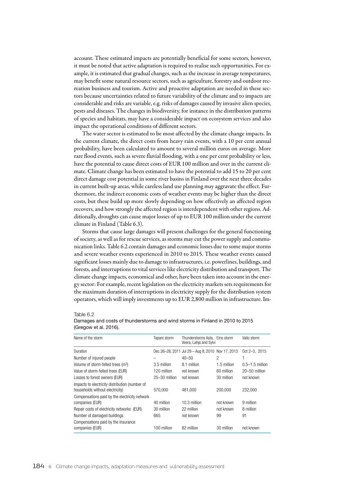account. These estimated impacts are potentially beneficial for some sectors, however, it must be noted that active adaptation is required to realise such opportunities. For example, it is estimated that gradual changes, such as the increase in average temperatures, may benefit some natural resource sectors, such as agriculture, forestry and outdoor recreation business and tourism. Active and proactive adaptation are needed in these sectors because uncertainties related to future variability of the climate and to impacts are considerable and risks are variable, e.g. risks of damages caused by invasive alien species, pests and diseases. The changes in biodiversity, for instance in the distribution patterns of species and habitats, may have a considerable impact on ecosystem services and also impact the operational conditions of different sectors.

The water sector is estimated to be most affected by the climate change impacts. In the current climate, the direct costs from heavy rain events, with a 10 per cent annual probability, have been calculated to amount to several million euros on average. More rare flood events, such as severe fluvial flooding, with a one per cent probability or less, have the potential to cause direct costs of EUR 100 million and over in the current climate. Climate change has been estimated to have the potential to add 15 to 20 per cent direct damage cost potential in some river basins in Finland over the next three decades in current built-up areas, while careless land use planning may aggravate the effect. Furthermore, the indirect economic costs of weather events may be higher than the direct costs, but these build up more slowly depending on how effectively an affected region recovers, and how strongly the affected region is interdependent with other regions. Additionally, droughts can cause major losses of up to EUR 100 million under the current climate in Finland (Table 6.3).

Storms that cause large damages will present challenges for the general functioning of society, as well as for rescue services, as storms may cut the power supply and communication links. Table 6.2 contain damages and economic losses due to some major storms and severe weather events experienced in 2010 to 2015. These weather events caused significant losses mainly due to damage to infrastructures, i.e. powerlines, buildings, and forests, and interruptions to vital services like electricity distribution and transport. The climate change impacts, economical and other, have been taken into account in the energy sector: For example, recent legislation on the electricity markets sets requirements for the maximum duration of interruptions in electricity supply for the distribution system operators, which will imply investments up to EUR 2,800 million in infrastructure. Im-

#### Table 6.2

| Name of the storm                              | Tapani storm      | Thunderstorms Asta. Eino storm<br>Veera, Lahja and Sylvi |             | Valio storm       |
|------------------------------------------------|-------------------|----------------------------------------------------------|-------------|-------------------|
| Duration                                       |                   | Dec 26-28, 2011 Jul 29 - Aug 8, 2010 Nov 17, 2013        |             | Oct 2-3, 2015     |
| Number of injured people                       |                   | $40 - 50$                                                | 2           | ٠                 |
| Volume of storm-felled trees (m <sup>3</sup> ) | 3.5 million       | 8.1 million                                              | 1.5 million | $0.5-1.5$ million |
| Value of storm-felled trees (EUR)              | 120 million       | not known                                                | 60 million  | $20 - 50$ million |
| Losses to forest owners (EUR)                  | $25 - 30$ million | not known                                                | 30 million  | not known         |
| Impacts to electricity distribution (number of |                   |                                                          |             |                   |
| households without electricity)                | 570.000           | 481.000                                                  | 200,000     | 232,000           |
| Compensations paid by the electricity network  |                   |                                                          |             |                   |
| companies (EUR)                                | 40 million        | 10.3 million                                             | not known   | 9 million         |
| Repair costs of electricity networks (EUR)     | 30 million        | 22 million                                               | not known   | 8 million         |
| Number of damaged buildings                    | 665               | not known                                                | 99          | 91                |
| Compensations paid by the insurance            |                   |                                                          |             |                   |
| companies (EUR)                                | 100 million       | 82 million                                               | 30 million  | not known         |
|                                                |                   |                                                          |             |                   |

#### Damages and costs of thunderstorms and wind storms in Finland in 2010 to 2015 (Gregow et al. 2016).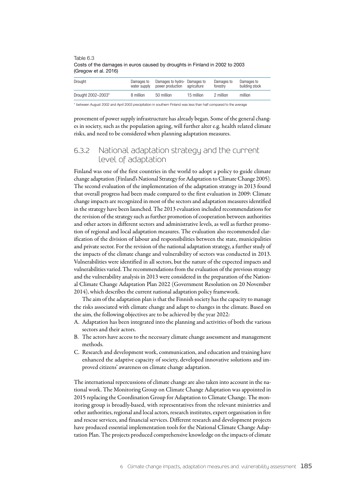| Drought            | Damages to<br>water supply | Damages to hydro- Damages to<br>power production | aariculture | Damages to<br>forestry | Damages to<br>building stock |
|--------------------|----------------------------|--------------------------------------------------|-------------|------------------------|------------------------------|
| Drought 2002-2003* | 8 million                  | 50 million                                       | 15 million  | 2 million              | million                      |

Table 6.3 Costs of the damages in euros caused by droughts in Finland in 2002 to 2003 (Gregow et al. 2016)

\* between August 2002 and April 2003 precipitation in southern Finland was less than half compared to the average

provement of power supply infrastructure has already began. Some of the general changes in society, such as the population ageing, will further alter e.g. health related climate risks, and need to be considered when planning adaptation measures.

# 6.3.2 National adaptation strategy and the current level of adaptation

Finland was one of the first countries in the world to adopt a policy to guide climate change adaptation (Finland's National Strategy for Adaptation to Climate Change 2005). The second evaluation of the implementation of the adaptation strategy in 2013 found that overall progress had been made compared to the first evaluation in 2009: Climate change impacts are recognized in most of the sectors and adaptation measures identified in the strategy have been launched. The 2013 evaluation included recommendations for the revision of the strategy such as further promotion of cooperation between authorities and other actors in different sectors and administrative levels, as well as further promotion of regional and local adaptation measures. The evaluation also recommended clarification of the division of labour and responsibilities between the state, municipalities and private sector. For the revision of the national adaptation strategy, a further study of the impacts of the climate change and vulnerability of sectors was conducted in 2013. Vulnerabilities were identified in all sectors, but the nature of the expected impacts and vulnerabilities varied. The recommendations from the evaluation of the previous strategy and the vulnerability analysis in 2013 were considered in the preparation of the National Climate Change Adaptation Plan 2022 (Government Resolution on 20 November 2014), which describes the current national adaptation policy framework.

The aim of the adaptation plan is that the Finnish society has the capacity to manage the risks associated with climate change and adapt to changes in the climate. Based on the aim, the following objectives are to be achieved by the year 2022:

- A. Adaptation has been integrated into the planning and activities of both the various sectors and their actors.
- B. The actors have access to the necessary climate change assessment and management methods.
- C. Research and development work, communication, and education and training have enhanced the adaptive capacity of society, developed innovative solutions and improved citizens' awareness on climate change adaptation.

The international repercussions of climate change are also taken into account in the national work. The Monitoring Group on Climate Change Adaptation was appointed in 2015 replacing the Coordination Group for Adaptation to Climate Change. The monitoring group is broadly-based, with representatives from the relevant ministries and other authorities, regional and local actors, research institutes, expert organisation in fire and rescue services, and financial services. Different research and development projects have produced essential implementation tools for the National Climate Change Adaptation Plan. The projects produced comprehensive knowledge on the impacts of climate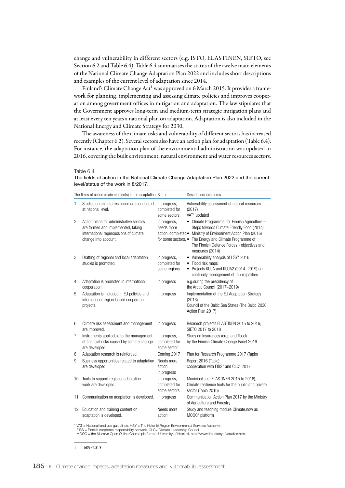change and vulnerability in different sectors (e.g. ISTO, ELASTINEN, SIETO, see Section 6.2 and Table 6.4). Table 6.4 summarises the status of the twelve main elements of the National Climate Change Adaptation Plan 2022 and includes short descriptions and examples of the current level of adaptation since 2014.

Finland's Climate Change Act<sup>1</sup> was approved on 6 March 2015. It provides a framework for planning, implementing and assessing climate policies and improves cooperation among government offices in mitigation and adaptation. The law stipulates that the Government approves long-term and medium-term strategic mitigation plans and at least every ten years a national plan on adaptation. Adaptation is also included in the National Energy and Climate Strategy for 2030.

The awareness of the climate risks and vulnerability of different sectors has increased recently (Chapter 6.2). Several sectors also have an action plan for adaptation (Table 6.4). For instance, the adaptation plan of the environmental administration was updated in 2016, covering the built environment, natural environment and water resources sectors.

#### Table 6.4

The fields of action in the National Climate Change Adaptation Plan 2022 and the current level/status of the work in 8/2017.

|    | The fields of action (main elements) in the adaptation Status                                                                                   |                                                | Description/examples                                                                                                                                                                                                                                                                        |
|----|-------------------------------------------------------------------------------------------------------------------------------------------------|------------------------------------------------|---------------------------------------------------------------------------------------------------------------------------------------------------------------------------------------------------------------------------------------------------------------------------------------------|
| 1. | Studies on climate resilience are conducted<br>at national level.                                                                               | In progress,<br>completed for<br>some sectors. | Vulnerability assessment of natural resources<br>(2017)<br>VAT* updated                                                                                                                                                                                                                     |
| 2. | Action plans for administrative sectors<br>are formed and implemented, taking<br>international repercussions of climate<br>change into account. | In progress,<br>needs more                     | • Climate Programme. for Finnish Agriculture -<br>Steps towards Climate Friendly Food (2014)<br>action, completed • Ministry of Environment Action Plan (2016)<br>for some sectors. • The Energy and Climate Programme of<br>The Finnish Defence Forces - objectives and<br>measures (2014) |
| 3. | Drafting of regional and local adaptation<br>studies is promoted.                                                                               | In progress,<br>completed for<br>some regions. | • Vulnerability analysis of HSY* 2016<br>• Flood risk maps<br>• Projects KUJA and KUJA2 (2014-2019) on<br>continuity management of municipalities                                                                                                                                           |
| 4. | Adaptation is promoted in international<br>cooperation.                                                                                         | In progress                                    | e.g.during the presidency of<br>the Arctic Council (2017-2019)                                                                                                                                                                                                                              |
| 5. | Adaptation is included in EU policies and<br>international region-based cooperation<br>projects.                                                | In progress                                    | Implementation of the EU Adaptation Strategy<br>(2013)<br>Council of the Baltic Sea States (The Baltic 2030<br>Action Plan 2017)                                                                                                                                                            |
| 6. | Climate risk assessment and management<br>are improved.                                                                                         | In progress                                    | Research projects ELASTINEN 2015 to 2016,<br>SIETO 2017 to 2018                                                                                                                                                                                                                             |
| 7. | Instruments applicable to the management<br>of financial risks caused by climate change<br>are developed.                                       | In progress,<br>completed for<br>some sector   | Study on Insurances (crop and flood)<br>by the Finnish Climate Change Panel 2016                                                                                                                                                                                                            |
| 8. | Adaptation research is reinforced.                                                                                                              | Coming 2017                                    | Plan for Research Programme 2017 (Tapio)                                                                                                                                                                                                                                                    |
| 9. | Business opportunities related to adaptation<br>are developed.                                                                                  | Needs more<br>action,<br>in progress           | Report 2016 (Tapio),<br>cooperation with FIBS* and CLC* 2017                                                                                                                                                                                                                                |
|    | 10. Tools to support regional adaptation<br>work are developed.                                                                                 | In progress,<br>completed for<br>some sectors  | Municipalities (ELASTINEN 2015 to 2016),<br>Climate resilience tools for the public and private<br>sector (Tapio 2016)                                                                                                                                                                      |
|    | 11. Communication on adaptation is developed.                                                                                                   | In progress                                    | Communication Action Plan 2017 by the Ministry<br>of Agriculture and Forestry                                                                                                                                                                                                               |
|    | 12. Education and training content on<br>adaptation is developed.                                                                               | Needs more<br>action                           | Study and teaching module Climate.now as<br>MOOC* platform                                                                                                                                                                                                                                  |

\* VAT = National land use guidelines, HSY = The Helsinki Region Environmental Services Authority, FIBS = Finnish corporate responsibility network, CLC= Climate Leadership Council,

MOOC = the Massive Open Online Course platform of University of Helsinki. http://www.ilmastonyt.fi/studies.html

1 609/2015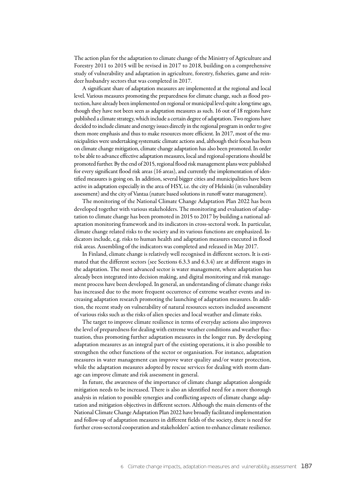The action plan for the adaptation to climate change of the Ministry of Agriculture and Forestry 2011 to 2015 will be revised in 2017 to 2018, building on a comprehensive study of vulnerability and adaptation in agriculture, forestry, fisheries, game and reindeer husbandry sectors that was completed in 2017.

A significant share of adaptation measures are implemented at the regional and local level. Various measures promoting the preparedness for climate change, such as flood protection, have already been implemented on regional or municipal level quite a long time ago, though they have not been seen as adaptation measures as such. 16 out of 18 regions have published a climate strategy, which include a certain degree of adaptation. Two regions have decided to include climate and energy issues directly in the regional program in order to give them more emphasis and thus to make resources more efficient. In 2017, most of the municipalities were undertaking systematic climate actions and, although their focus has been on climate change mitigation, climate change adaptation has also been promoted. In order to be able to advance effective adaptation measures, local and regional operations should be promoted further. By the end of 2015, regional flood risk management plans were published for every significant flood risk areas (16 areas), and currently the implementation of identified measures is going on. In addition, several bigger cities and municipalities have been active in adaptation especially in the area of HSY, i.e. the city of Helsinki (in vulnerability assessment) and the city of Vantaa (nature based solutions in runoff water management).

The monitoring of the National Climate Change Adaptation Plan 2022 has been developed together with various stakeholders. The monitoring and evaluation of adaptation to climate change has been promoted in 2015 to 2017 by building a national adaptation monitoring framework and its indicators in cross-sectoral work. In particular, climate change related risks to the society and its various functions are emphasized. Indicators include, e.g. risks to human health and adaptation measures executed in flood risk areas. Assembling of the indicators was completed and released in May 2017.

In Finland, climate change is relatively well recognised in different sectors. It is estimated that the different sectors (see Sections 6.3.3 and 6.3.4) are at different stages in the adaptation. The most advanced sector is water management, where adaptation has already been integrated into decision making, and digital monitoring and risk management process have been developed. In general, an understanding of climate change risks has increased due to the more frequent occurrence of extreme weather events and increasing adaptation research promoting the launching of adaptation measures. In addition, the recent study on vulnerability of natural resources sectors included assessment of various risks such as the risks of alien species and local weather and climate risks.

The target to improve climate resilience in terms of everyday actions also improves the level of preparedness for dealing with extreme weather conditions and weather fluctuation, thus promoting further adaptation measures in the longer run. By developing adaptation measures as an integral part of the existing operations, it is also possible to strengthen the other functions of the sector or organisation. For instance, adaptation measures in water management can improve water quality and/or water protection, while the adaptation measures adopted by rescue services for dealing with storm damage can improve climate and risk assessment in general.

In future, the awareness of the importance of climate change adaptation alongside mitigation needs to be increased. There is also an identified need for a more thorough analysis in relation to possible synergies and conflicting aspects of climate change adaptation and mitigation objectives in different sectors. Although the main elements of the National Climate Change Adaptation Plan 2022 have broadly facilitated implementation and follow-up of adaptation measures in different fields of the society, there is need for further cross-sectoral cooperation and stakeholders' action to enhance climate resilience.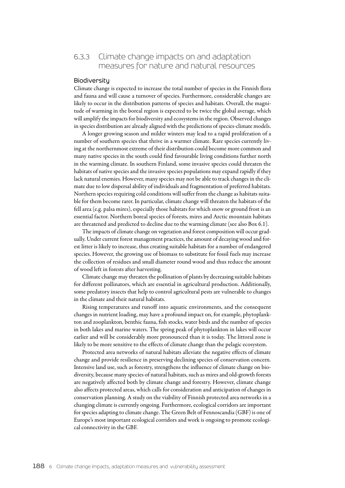# 6.3.3 Climate change impacts on and adaptation measures for nature and natural resources

#### **Biodiversitu**

Climate change is expected to increase the total number of species in the Finnish flora and fauna and will cause a turnover of species. Furthermore, considerable changes are likely to occur in the distribution patterns of species and habitats. Overall, the magnitude of warming in the boreal region is expected to be twice the global average, which will amplify the impacts for biodiversity and ecosystems in the region. Observed changes in species distribution are already aligned with the predictions of species-climate models.

A longer growing season and milder winters may lead to a rapid proliferation of a number of southern species that thrive in a warmer climate. Rare species currently living at the northernmost extreme of their distribution could become more common and many native species in the south could find favourable living conditions further north in the warming climate. In southern Finland, some invasive species could threaten the habitats of native species and the invasive species populations may expand rapidly if they lack natural enemies. However, many species may not be able to track changes in the climate due to low dispersal ability of individuals and fragmentation of preferred habitats. Northern species requiring cold conditions will suffer from the change as habitats suitable for them become rarer. In particular, climate change will threaten the habitats of the fell area (e.g. palsa mires), especially those habitats for which snow or ground frost is an essential factor. Northern boreal species of forests, mires and Arctic mountain habitats are threatened and predicted to decline due to the warming climate (see also Box 6.1).

The impacts of climate change on vegetation and forest composition will occur gradually. Under current forest management practices, the amount of decaying wood and forest litter is likely to increase, thus creating suitable habitats for a number of endangered species. However, the growing use of biomass to substitute for fossil fuels may increase the collection of residues and small diameter round wood and thus reduce the amount of wood left in forests after harvesting.

Climate change may threaten the pollination of plants by decreasing suitable habitats for different pollinators, which are essential in agricultural production. Additionally, some predatory insects that help to control agricultural pests are vulnerable to changes in the climate and their natural habitats.

Rising temperatures and runoff into aquatic environments, and the consequent changes in nutrient loading, may have a profound impact on, for example, phytoplankton and zooplankton, benthic fauna, fish stocks, water birds and the number of species in both lakes and marine waters. The spring peak of phytoplankton in lakes will occur earlier and will be considerably more pronounced than it is today. The littoral zone is likely to be more sensitive to the effects of climate change than the pelagic ecosystem.

Protected area networks of natural habitats alleviate the negative effects of climate change and provide resilience in preserving declining species of conservation concern. Intensive land use, such as forestry, strengthens the influence of climate change on biodiversity, because many species of natural habitats, such as mires and old-growth forests are negatively affected both by climate change and forestry. However, climate change also affects protected areas, which calls for consideration and anticipation of changes in conservation planning. A study on the viability of Finnish protected area networks in a changing climate is currently ongoing. Furthermore, ecological corridors are important for species adapting to climate change. The Green Belt of Fennoscandia (GBF) is one of Europe's most important ecological corridors and work is ongoing to promote ecological connectivity in the GBF.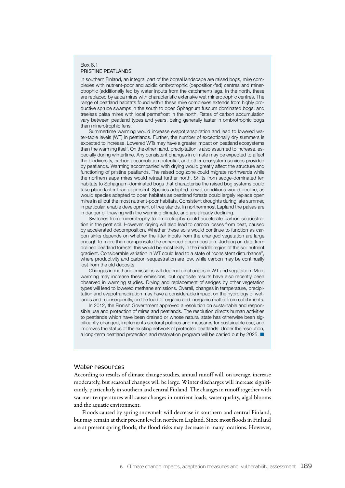#### Box 6.1 PRISTINE PEATLANDS

In southern Finland, an integral part of the boreal landscape are raised bogs, mire complexes with nutrient-poor and acidic ombrotrophic (deposition-fed) centres and minerotrophic (additionally fed by water inputs from the catchment) lags. In the north, these are replaced by aapa mires with characteristic extensive wet minerotrophic centres. The range of peatland habitats found within these mire complexes extends from highly productive spruce swamps in the south to open Sphagnum fuscum dominated bogs, and treeless palsa mires with local permafrost in the north. Rates of carbon accumulation vary between peatland types and years, being generally faster in ombrotrophic bogs than minerotrophic fens.

Summertime warming would increase evapotranspiration and lead to lowered water-table levels (WT) in peatlands. Further, the number of exceptionally dry summers is expected to increase. Lowered WTs may have a greater impact on peatland ecosystems than the warming itself. On the other hand, precipitation is also assumed to increase, especially during wintertime. Any consistent changes in climate may be expected to affect the biodiversity, carbon accumulation potential, and other ecosystem services provided by peatlands. Warming accompanied with drying would greatly affect the structure and functioning of pristine peatlands. The raised bog zone could migrate northwards while the northern aapa mires would retreat further north. Shifts from sedge-dominated fen habitats to Sphagnum-dominated bogs that characterise the raised bog systems could take place faster than at present. Species adapted to wet conditions would decline, as would species adapted to open habitats as peatland forests could largely replace open mires in all but the most nutrient-poor habitats. Consistent droughts during late summer, in particular, enable development of tree stands. In northernmost Lapland the palsas are in danger of thawing with the warming climate, and are already declining.

Switches from minerotrophy to ombrotrophy could accelerate carbon sequestration in the peat soil. However, drying will also lead to carbon losses from peat, caused by accelerated decomposition. Whether these soils would continue to function as carbon sinks depends on whether the litter inputs from the changed vegetation are large enough to more than compensate the enhanced decomposition. Judging on data from drained peatland forests, this would be most likely in the middle region of the soil nutrient gradient. Considerable variation in WT could lead to a state of "consistent disturbance", where productivity and carbon sequestration are low, while carbon may be continually lost from the old deposits.

Changes in methane emissions will depend on changes in WT and vegetation. Mere warming may increase these emissions, but opposite results have also recently been observed in warming studies. Drying and replacement of sedges by other vegetation types will lead to lowered methane emissions. Overall, changes in temperature, precipitation and evapotranspiration may have a considerable impact on the hydrology of wetlands and, consequently, on the load of organic and inorganic matter from catchments.

In 2012, the Finnish Government approved a resolution on sustainable and responsible use and protection of mires and peatlands. The resolution directs human activities to peatlands which have been drained or whose natural state has otherwise been significantly changed, implements sectoral policies and measures for sustainable use, and improves the status of the existing network of protected peatlands. Under the resolution, a long-term peatland protection and restoration program will be carried out by 2025. ■

### Water resources

According to results of climate change studies, annual runoff will, on average, increase moderately, but seasonal changes will be large. Winter discharges will increase significantly, particularly in southern and central Finland. The changes in runoff together with warmer temperatures will cause changes in nutrient loads, water quality, algal blooms and the aquatic environment.

Floods caused by spring snowmelt will decrease in southern and central Finland, but may remain at their present level in northern Lapland. Since most floods in Finland are at present spring floods, the flood risks may decrease in many locations. However,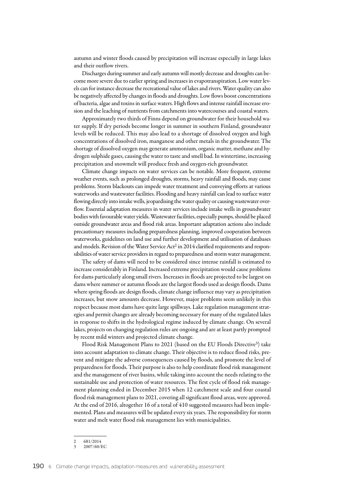autumn and winter floods caused by precipitation will increase especially in large lakes and their outflow rivers.

Discharges during summer and early autumn will mostly decrease and droughts can become more severe due to earlier spring and increases in evapotranspiration. Low water levels can for instance decrease the recreational value of lakes and rivers. Water quality can also be negatively affected by changes in floods and droughts. Low flows boost concentrations of bacteria, algae and toxins in surface waters. High flows and intense rainfall increase erosion and the leaching of nutrients from catchments into watercourses and coastal waters.

Approximately two thirds of Finns depend on groundwater for their household water supply. If dry periods become longer in summer in southern Finland, groundwater levels will be reduced. This may also lead to a shortage of dissolved oxygen and high concentrations of dissolved iron, manganese and other metals in the groundwater. The shortage of dissolved oxygen may generate ammonium, organic matter, methane and hydrogen sulphide gases, causing the water to taste and smell bad. In wintertime, increasing precipitation and snowmelt will produce fresh and oxygen-rich groundwater.

Climate change impacts on water services can be notable. More frequent, extreme weather events, such as prolonged droughts, storms, heavy rainfall and floods, may cause problems. Storm blackouts can impede water treatment and conveying efforts at various waterworks and wastewater facilities. Flooding and heavy rainfall can lead to surface water flowing directly into intake wells, jeopardising the water quality or causing wastewater overflow. Essential adaptation measures in water services include intake wells in groundwater bodies with favourable water yields. Wastewater facilities, especially pumps, should be placed outside groundwater areas and flood risk areas. Important adaptation actions also include precautionary measures including preparedness planning, improved cooperation between waterworks, guidelines on land use and further development and utilisation of databases and models. Revision of the Water Service Act<sup>2</sup> in 2014 clarified requirements and responsibilities of water service providers in regard to preparedness and storm water management.

The safety of dams will need to be considered since intense rainfall is estimated to increase considerably in Finland. Increased extreme precipitation would cause problems for dams particularly along small rivers. Increases in floods are projected to be largest on dams where summer or autumn floods are the largest floods used as design floods. Dams where spring floods are design floods, climate change influence may vary as precipitation increases, but snow amounts decrease. However, major problems seem unlikely in this respect because most dams have quite large spillways. Lake regulation management strategies and permit changes are already becoming necessary for many of the regulated lakes in response to shifts in the hydrological regime induced by climate change. On several lakes, projects on changing regulation rules are ongoing and are at least partly prompted by recent mild winters and projected climate change.

Flood Risk Management Plans to 2021 (based on the EU Floods Directive<sup>3</sup>) take into account adaptation to climate change. Their objective is to reduce flood risks, prevent and mitigate the adverse consequences caused by floods, and promote the level of preparedness for floods. Their purpose is also to help coordinate flood risk management and the management of river basins, while taking into account the needs relating to the sustainable use and protection of water resources. The first cycle of flood risk management planning ended in December 2015 when 12 catchment scale and four coastal flood risk management plans to 2021, covering all significant flood areas, were approved. At the end of 2016, altogether 16 of a total of 410 suggested measures had been implemented. Plans and measures will be updated every six years. The responsibility for storm water and melt water flood risk management lies with municipalities.

 $\frac{2}{3}$   $\frac{681/2014}{2007/60/1}$ 

<sup>3</sup> 2007/60/EC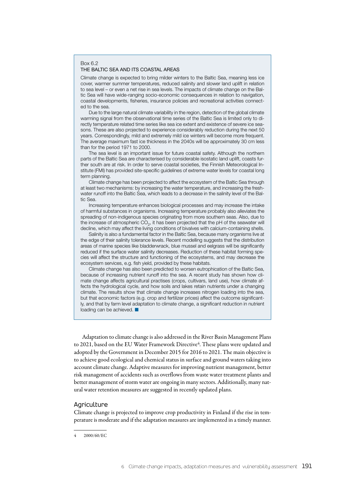#### Box 6.2 THE BALTIC SEA AND ITS COASTAL AREAS

Climate change is expected to bring milder winters to the Baltic Sea, meaning less ice cover, warmer summer temperatures, reduced salinity and slower land uplift in relation to sea level – or even a net rise in sea levels. The impacts of climate change on the Baltic Sea will have wide-ranging socio-economic consequences in relation to navigation, coastal developments, fisheries, insurance policies and recreational activities connected to the sea.

Due to the large natural climate variability in the region, detection of the global climate warming signal from the observational time series of the Baltic Sea is limited only to directly temperature related time series like sea ice extent and existence of severe ice seasons. These are also projected to experience considerably reduction during the next 50 years. Correspondingly, mild and extremely mild ice winters will become more frequent. The average maximum fast ice thickness in the 2040s will be approximately 30 cm less than for the period 1971 to 2000.

The sea level is an important issue for future coastal safety. Although the northern parts of the Baltic Sea are characterised by considerable isostatic land uplift, coasts further south are at risk. In order to serve coastal societies, the Finnish Meteorological Institute (FMI) has provided site-specific guidelines of extreme water levels for coastal long term planning.

Climate change has been projected to affect the ecosystem of the Baltic Sea through at least two mechanisms: by increasing the water temperature, and increasing the freshwater runoff into the Baltic Sea, which leads to a decrease in the salinity level of the Baltic Sea.

Increasing temperature enhances biological processes and may increase the intake of harmful substances in organisms. Increasing temperature probably also alleviates the spreading of non-indigenous species originating from more southern seas. Also, due to the increase of atmospheric  $CO<sub>2</sub>$ , it has been projected that the pH of the seawater will decline, which may affect the living conditions of bivalves with calcium-containing shells.

Salinity is also a fundamental factor in the Baltic Sea, because many organisms live at the edge of their salinity tolerance levels. Recent modelling suggests that the distribution areas of marine species like bladderwrack, blue mussel and eelgrass will be significantly reduced if the surface water salinity decreases. Reduction of these habitat forming species will affect the structure and functioning of the ecosystems, and may decrease the ecosystem services, e.g. fish yield, provided by these habitats.

Climate change has also been predicted to worsen eutrophication of the Baltic Sea, because of increasing nutrient runoff into the sea. A recent study has shown how climate change affects agricultural practises (crops, cultivars, land use), how climate affects the hydrological cycle, and how soils and lakes retain nutrients under a changing climate. The results show that climate change increases nitrogen loading into the sea, but that economic factors (e.g. crop and fertilizer prices) affect the outcome significantly, and that by farm level adaptation to climate change, a significant reduction in nutrient loading can be achieved. ■

Adaptation to climate change is also addressed in the River Basin Management Plans to 2021, based on the EU Water Framework Directive<sup>4</sup>. These plans were updated and adopted by the Government in December 2015 for 2016 to 2021. The main objective is to achieve good ecological and chemical status in surface and ground waters taking into account climate change. Adaptive measures for improving nutrient management, better risk management of accidents such as overflows from waste water treatment plants and better management of storm water are ongoing in many sectors. Additionally, many natural water retention measures are suggested in recently updated plans.

#### Agriculture

Climate change is projected to improve crop productivity in Finland if the rise in temperature is moderate and if the adaptation measures are implemented in a timely manner.

<sup>4</sup> 2000/60/EC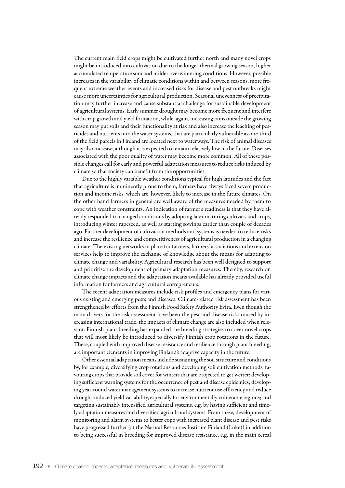The current main field crops might be cultivated further north and many novel crops might be introduced into cultivation due to the longer thermal growing season, higher accumulated temperature sum and milder overwintering conditions. However, possible increases in the variability of climatic conditions within and between seasons, more frequent extreme weather events and increased risks for disease and pest outbreaks might cause more uncertainties for agricultural production. Seasonal unevenness of precipitation may further increase and cause substantial challenge for sustainable development of agricultural systems. Early summer drought may become more frequent and interfere with crop growth and yield formation, while, again, increasing rains outside the growing season may put soils and their functionality at risk and also increase the leaching of pesticides and nutrients into the water systems, that are particularly vulnerable as one-third of the field parcels in Finland are located next to waterways. The risk of animal diseases may also increase, although it is expected to remain relatively low in the future. Diseases associated with the poor quality of water may become more common. All of these possible changes call for early and powerful adaptation measures to reduce risks induced by climate so that society can benefit from the opportunities.

Due to the highly variable weather conditions typical for high latitudes and the fact that agriculture is imminently prone to them, farmers have always faced severe production and income risks, which are, however, likely to increase in the future climates. On the other hand farmers in general are well aware of the measures needed by them to cope with weather constraints. An indication of farmer's readiness is that they have already responded to changed conditions by adopting later maturing cultivars and crops, introducing winter rapeseed, as well as starting sowings earlier than couple of decades ago. Further development of cultivation methods and systems is needed to reduce risks and increase the resilience and competitiveness of agricultural production in a changing climate. The existing networks in place for farmers, farmers' associations and extension services help to improve the exchange of knowledge about the means for adapting to climate change and variability. Agricultural research has been well designed to support and prioritise the development of primary adaptation measures. Thereby, research on climate change impacts and the adaptation means available has already provided useful information for farmers and agricultural entrepreneurs.

The recent adaptation measures include risk profiles and emergency plans for various existing and emerging pests and diseases. Climate-related risk assessment has been strengthened by efforts from the Finnish Food Safety Authority Evira. Even though the main drivers for the risk assessment have been the pest and disease risks caused by increasing international trade, the impacts of climate change are also included when relevant. Finnish plant breeding has expanded the breeding strategies to cover novel crops that will most likely be introduced to diversify Finnish crop rotations in the future. These, coupled with improved disease resistance and resilience through plant breeding, are important elements in improving Finland's adaptive capacity in the future.

Other essential adaptation means include sustaining the soil structure and conditions by, for example, diversifying crop rotations and developing soil cultivation methods, favouring crops that provide soil cover for winters that are projected to get wetter; developing sufficient warning systems for the occurrence of pest and disease epidemics; developing year-round water management systems to increase nutrient use efficiency and reduce drought-induced yield variability, especially for environmentally vulnerable regions; and targeting sustainably intensified agricultural systems, e.g. by having sufficient and timely adaptation measures and diversified agricultural systems. From these, development of monitoring and alarm systems to better cope with increased plant disease and pest risks have progressed further (at the Natural Resources Institute Finland (Luke)) in addition to being successful in breeding for improved disease resistance, e.g. in the main cereal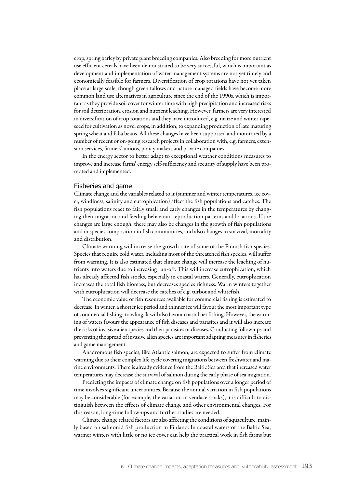crop, spring barley by private plant breeding companies. Also breeding for more nutrient use efficient cereals have been demonstrated to be very successful, which is important as development and implementation of water management systems are not yet timely and economically feasible for farmers. Diversification of crop rotations have not yet taken place at large scale, though green fallows and nature managed fields have become more common land use alternatives in agriculture since the end of the 1990s, which is important as they provide soil cover for winter time with high precipitation and increased risks for soil deterioration, erosion and nutrient leaching. However, farmers are very interested in diversification of crop rotations and they have introduced, e.g. maize and winter rapeseed for cultivation as novel crops, in addition, to expanding production of late maturing spring wheat and faba beans. All these changes have been supported and monitored by a number of recent or on-going research projects in collaboration with, e.g. farmers, extension services, farmers' unions, policy makers and private companies.

In the energy sector to better adapt to exceptional weather conditions measures to improve and increase farms' energy self-sufficiency and security of supply have been promoted and implemented.

#### Fisheries and game

Climate change and the variables related to it (summer and winter temperatures, ice cover, windiness, salinity and eutrophication) affect the fish populations and catches. The fish populations react to fairly small and early changes in the temperatures by changing their migration and feeding behaviour, reproduction patterns and locations. If the changes are large enough, there may also be changes in the growth of fish populations and in species composition in fish communities, and also changes in survival, mortality and distribution.

Climate warming will increase the growth rate of some of the Finnish fish species. Species that require cold water, including most of the threatened fish species, will suffer from warming. It is also estimated that climate change will increase the leaching of nutrients into waters due to increasing run-off. This will increase eutrophication, which has already affected fish stocks, especially in coastal waters. Generally, eutrophication increases the total fish biomass, but decreases species richness. Warm winters together with eutrophication will decrease the catches of e.g. turbot and whitefish.

The economic value of fish resources available for commercial fishing is estimated to decrease. In winter, a shorter ice period and thinner ice will favour the most important type of commercial fishing: trawling. It will also favour coastal net fishing. However, the warming of waters favours the appearance of fish diseases and parasites and it will also increase the risks of invasive alien species and their parasites or diseases. Conducting follow-ups and preventing the spread of invasive alien species are important adapting measures in fisheries and game management.

Anadromous fish species, like Atlantic salmon, are expected to suffer from climate warming due to their complex life cycle covering migrations between freshwater and marine environments. There is already evidence from the Baltic Sea area that increased water temperatures may decrease the survival of salmon during the early phase of sea migration.

Predicting the impacts of climate change on fish populations over a longer period of time involves significant uncertainties. Because the annual variation in fish populations may be considerable (for example, the variation in vendace stocks), it is difficult to distinguish between the effects of climate change and other environmental changes. For this reason, long-time follow-ups and further studies are needed.

Climate change related factors are also affecting the conditions of aquaculture, mainly based on salmonid fish production in Finland. In coastal waters of the Baltic Sea, warmer winters with little or no ice cover can help the practical work in fish farms but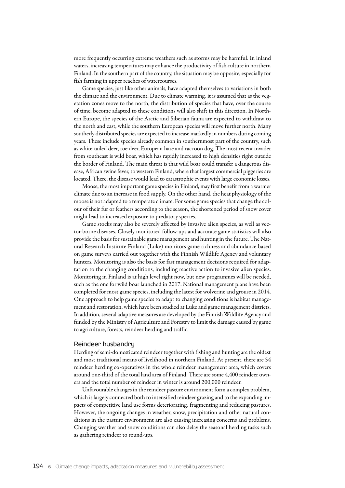more frequently occurring extreme weathers such as storms may be harmful. In inland waters, increasing temperatures may enhance the productivity of fish culture in northern Finland. In the southern part of the country, the situation may be opposite, especially for fish farming in upper reaches of watercourses.

Game species, just like other animals, have adapted themselves to variations in both the climate and the environment. Due to climate warming, it is assumed that as the vegetation zones move to the north, the distribution of species that have, over the course of time, become adapted to these conditions will also shift in this direction. In Northern Europe, the species of the Arctic and Siberian fauna are expected to withdraw to the north and east, while the southern European species will move further north. Many southerly distributed species are expected to increase markedly in numbers during coming years. These include species already common in southernmost part of the country, such as white-tailed deer, roe deer, European hare and raccoon dog. The most recent invader from southeast is wild boar, which has rapidly increased to high densities right outside the border of Finland. The main threat is that wild boar could transfer a dangerous disease, African swine fever, to western Finland, where that largest commercial piggeries are located. There, the disease would lead to catastrophic events with large economic losses.

Moose, the most important game species in Finland, may first benefit from a warmer climate due to an increase in food supply. On the other hand, the heat physiology of the moose is not adapted to a temperate climate. For some game species that change the colour of their fur or feathers according to the season, the shortened period of snow cover might lead to increased exposure to predatory species.

Game stocks may also be severely affected by invasive alien species, as well as vector-borne diseases. Closely monitored follow-ups and accurate game statistics will also provide the basis for sustainable game management and hunting in the future. The Natural Research Institute Finland (Luke) monitors game richness and abundance based on game surveys carried out together with the Finnish Wildlife Agency and voluntary hunters. Monitoring is also the basis for fast management decisions required for adaptation to the changing conditions, including reactive action to invasive alien species. Monitoring in Finland is at high level right now, but new programmes will be needed, such as the one for wild boar launched in 2017. National management plans have been completed for most game species, including the latest for wolverine and grouse in 2014. One approach to help game species to adapt to changing conditions is habitat management and restoration, which have been studied at Luke and game management districts. In addition, several adaptive measures are developed by the Finnish Wildlife Agency and funded by the Ministry of Agriculture and Forestry to limit the damage caused by game to agriculture, forests, reindeer herding and traffic.

#### Reindeer husbandry

Herding of semi-domesticated reindeer together with fishing and hunting are the oldest and most traditional means of livelihood in northern Finland. At present, there are 54 reindeer herding co-operatives in the whole reindeer management area, which covers around one-third of the total land area of Finland. There are some 4,400 reindeer owners and the total number of reindeer in winter is around 200,000 reindeer.

Unfavourable changes in the reindeer pasture environment form a complex problem, which is largely connected both to intensified reindeer grazing and to the expanding impacts of competitive land use forms deteriorating, fragmenting and reducing pastures. However, the ongoing changes in weather, snow, precipitation and other natural conditions in the pasture environment are also causing increasing concerns and problems. Changing weather and snow conditions can also delay the seasonal herding tasks such as gathering reindeer to round-ups.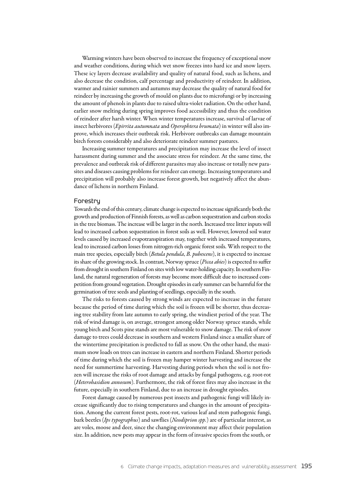Warming winters have been observed to increase the frequency of exceptional snow and weather conditions, during which wet snow freezes into hard ice and snow layers. These icy layers decrease availability and quality of natural food, such as lichens, and also decrease the condition, calf percentage and productivity of reindeer. In addition, warmer and rainier summers and autumns may decrease the quality of natural food for reindeer by increasing the growth of mould on plants due to microfungi or by increasing the amount of phenols in plants due to raised ultra-violet radiation. On the other hand, earlier snow melting during spring improves food accessibility and thus the condition of reindeer after harsh winter. When winter temperatures increase, survival of larvae of insect herbivores (*Epirrita autumnata* and *Operophtera brumata*) in winter will also improve, which increases their outbreak risk. Herbivore outbreaks can damage mountain birch forests considerably and also deteriorate reindeer summer pastures.

Increasing summer temperatures and precipitation may increase the level of insect harassment during summer and the associate stress for reindeer. At the same time, the prevalence and outbreak risk of different parasites may also increase or totally new parasites and diseases causing problems for reindeer can emerge. Increasing temperatures and precipitation will probably also increase forest growth, but negatively affect the abundance of lichens in northern Finland.

#### Forestry

Towards the end of this century, climate change is expected to increase significantly both the growth and production of Finnish forests, as well as carbon sequestration and carbon stocks in the tree biomass. The increase will be larger in the north. Increased tree litter inputs will lead to increased carbon sequestration in forest soils as well. However, lowered soil water levels caused by increased evapotranspiration may, together with increased temperatures, lead to increased carbon losses from nitrogen-rich organic forest soils. With respect to the main tree species, especially birch (*Betula pendula*, *B. pubescens*), it is expected to increase its share of the growing stock. In contrast, Norway spruce (*Picea abies*) is expected to suffer from drought in southern Finland on sites with low water-holding capacity. In southern Finland, the natural regeneration of forests may become more difficult due to increased competition from ground vegetation. Drought episodes in early summer can be harmful for the germination of tree seeds and planting of seedlings, especially in the south.

The risks to forests caused by strong winds are expected to increase in the future because the period of time during which the soil is frozen will be shorter, thus decreasing tree stability from late autumn to early spring, the windiest period of the year. The risk of wind damage is, on average, strongest among older Norway spruce stands, while young birch and Scots pine stands are most vulnerable to snow damage. The risk of snow damage to trees could decrease in southern and western Finland since a smaller share of the wintertime precipitation is predicted to fall as snow. On the other hand, the maximum snow loads on trees can increase in eastern and northern Finland. Shorter periods of time during which the soil is frozen may hamper winter harvesting and increase the need for summertime harvesting. Harvesting during periods when the soil is not frozen will increase the risks of root damage and attacks by fungal pathogens, e.g. root-rot (*Heterobasidion annosum*). Furthermore, the risk of forest fires may also increase in the future, especially in southern Finland, due to an increase in drought episodes.

Forest damage caused by numerous pest insects and pathogenic fungi will likely increase significantly due to rising temperatures and changes in the amount of precipitation. Among the current forest pests, root-rot, various leaf and stem pathogenic fungi, bark beetles (*Ips typographus*) and sawflies (*Neodiprion spp.*) are of particular interest, as are voles, moose and deer, since the changing environment may affect their population size. In addition, new pests may appear in the form of invasive species from the south, or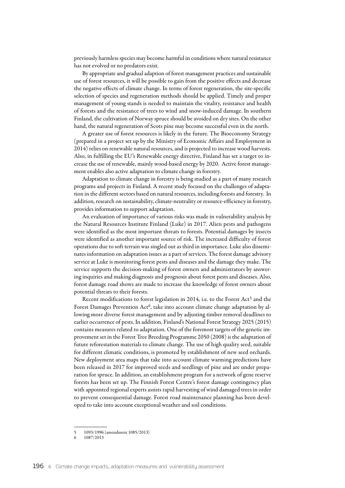previously harmless species may become harmful in conditions where natural resistance has not evolved or no predators exist.

By appropriate and gradual adaption of forest management practices and sustainable use of forest resources, it will be possible to gain from the positive effects and decrease the negative effects of climate change. In terms of forest regeneration, the site-specific selection of species and regeneration methods should be applied. Timely and proper management of young stands is needed to maintain the vitality, resistance and health of forests and the resistance of trees to wind and snow-induced damage. In southern Finland, the cultivation of Norway spruce should be avoided on dry sites. On the other hand, the natural regeneration of Scots pine may become successful even in the north.

A greater use of forest resources is likely in the future. The Bioeconomy Strategy (prepared in a project set up by the Ministry of Economic Affairs and Employment in 2014) relies on renewable natural resources, and is projected to increase wood harvests. Also, in fulfilling the EU's Renewable energy directive, Finland has set a target to increase the use of renewable, mainly wood-based energy by 2020. Active forest management enables also active adaptation to climate change in forestry.

Adaptation to climate change in forestry is being studied as a part of many research programs and projects in Finland. A recent study focused on the challenges of adaptation in the different sectors based on natural resources, including forests and forestry. In addition, research on sustainability, climate-neutrality or resource-efficiency in forestry, provides information to support adaptation.

An evaluation of importance of various risks was made in vulnerability analysis by the Natural Resources Institute Finland (Luke) in 2017. Alien pests and pathogens were identified as the most important threats to forests. Potential damages by insects were identified as another important source of risk. The increased difficulty of forest operations due to soft terrain was singled out as third in importance. Luke also disseminates information on adaptation issues as a part of services. The forest damage advisory service at Luke is monitoring forest pests and diseases and the damage they make. The service supports the decision-making of forest owners and administrators by answering inquiries and making diagnosis and prognosis about forest pests and diseases. Also, forest damage road shows are made to increase the knowledge of forest owners about potential threats to their forests.

Recent modifications to forest legislation in 2014, i.e. to the Forest Act<sup>5</sup> and the Forest Damages Prevention  $Act^6$ , take into account climate change adaptation by allowing more diverse forest management and by adjusting timber removal deadlines to earlier occurrence of pests. In addition, Finland's National Forest Strategy 2025 (2015) contains measures related to adaptation. One of the foremost targets of the genetic improvement set in the Forest Tree Breeding Programme 2050 (2008) is the adaptation of future reforestation materials to climate change. The use of high quality seed, suitable for different climatic conditions, is promoted by establishment of new seed orchards. New deployment area maps that take into account climate warming predictions have been released in 2017 for improved seeds and seedlings of pine and are under preparation for spruce. In addition, an establishment program for a network of gene reserve forests has been set up. The Finnish Forest Centre's forest damage contingency plan with appointed regional experts assists rapid harvesting of wind damaged trees in order to prevent consequential damage. Forest road maintenance planning has been developed to take into account exceptional weather and soil conditions.

<sup>5</sup> 1093/1996 (amendment 1085/2013)

<sup>6</sup> 1087/2013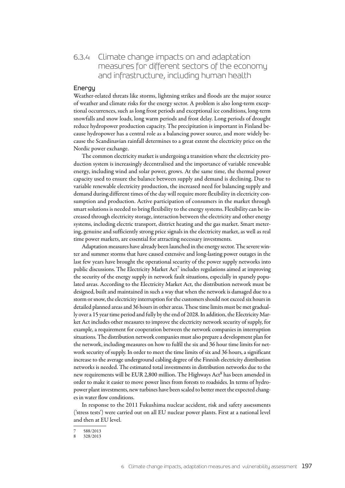# 6.3.4 Climate change impacts on and adaptation measures for different sectors of the economy and infrastructure, including human health

### Energy

Weather-related threats like storms, lightning strikes and floods are the major source of weather and climate risks for the energy sector. A problem is also long-term exceptional occurrences, such as long frost periods and exceptional ice conditions, long-term snowfalls and snow loads, long warm periods and frost delay. Long periods of drought reduce hydropower production capacity. The precipitation is important in Finland because hydropower has a central role as a balancing power source, and more widely because the Scandinavian rainfall determines to a great extent the electricity price on the Nordic power exchange.

The common electricity market is undergoing a transition where the electricity production system is increasingly decentralised and the importance of variable renewable energy, including wind and solar power, grows. At the same time, the thermal power capacity used to ensure the balance between supply and demand is declining. Due to variable renewable electricity production, the increased need for balancing supply and demand during different times of the day will require more flexibility in electricity consumption and production. Active participation of consumers in the market through smart solutions is needed to bring flexibility to the energy systems. Flexibility can be increased through electricity storage, interaction between the electricity and other energy systems, including electric transport, district heating and the gas market. Smart metering, genuine and sufficiently strong price signals in the electricity market, as well as real time power markets, are essential for attracting necessary investments.

Adaptation measures have already been launched in the energy sector. The severe winter and summer storms that have caused extensive and long-lasting power outages in the last few years have brought the operational security of the power supply networks into public discussions. The Electricity Market Act<sup>7</sup> includes regulations aimed at improving the security of the energy supply in network fault situations, especially in sparsely populated areas. According to the Electricity Market Act, the distribution network must be designed, built and maintained in such a way that when the network is damaged due to a storm or snow, the electricity interruption for the customers should not exceed six hours in detailed planned areas and 36 hours in other areas. These time limits must be met gradually over a 15 year time period and fully by the end of 2028. In addition, the Electricity Market Act includes other measures to improve the electricity network security of supply, for example, a requirement for cooperation between the network companies in interruption situations. The distribution network companies must also prepare a development plan for the network, including measures on how to fulfil the six and 36 hour time limits for network security of supply. In order to meet the time limits of six and 36 hours, a significant increase to the average underground cabling degree of the Finnish electricity distribution networks is needed. The estimated total investments in distribution networks due to the new requirements will be EUR 2,800 million. The Highways Act<sup>8</sup> has been amended in order to make it easier to move power lines from forests to roadsides. In terms of hydropower plant investments, new turbines have been scaled to better meet the expected changes in water flow conditions.

In response to the 2011 Fukushima nuclear accident, risk and safety assessments ('stress tests') were carried out on all EU nuclear power plants. First at a national level and then at EU level.

 $7$  588/2013

<sup>8</sup> 328/2013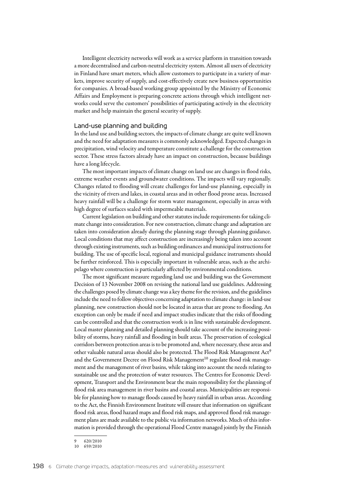Intelligent electricity networks will work as a service platform in transition towards a more decentralised and carbon-neutral electricity system. Almost all users of electricity in Finland have smart meters, which allow customers to participate in a variety of markets, improve security of supply, and cost-effectively create new business opportunities for companies. A broad-based working group appointed by the Ministry of Economic Affairs and Employment is preparing concrete actions through which intelligent networks could serve the customers' possibilities of participating actively in the electricity market and help maintain the general security of supply.

#### Land-use planning and building

In the land use and building sectors, the impacts of climate change are quite well known and the need for adaptation measures is commonly acknowledged. Expected changes in precipitation, wind velocity and temperature constitute a challenge for the construction sector. These stress factors already have an impact on construction, because buildings have a long lifecycle.

The most important impacts of climate change on land use are changes in flood risks, extreme weather events and groundwater conditions. The impacts will vary regionally. Changes related to flooding will create challenges for land-use planning, especially in the vicinity of rivers and lakes, in coastal areas and in other flood prone areas. Increased heavy rainfall will be a challenge for storm water management, especially in areas with high degree of surfaces sealed with impermeable materials.

Current legislation on building and other statutes include requirements for taking climate change into consideration. For new construction, climate change and adaptation are taken into consideration already during the planning stage through planning guidance. Local conditions that may affect construction are increasingly being taken into account through existing instruments, such as building ordinances and municipal instructions for building. The use of specific local, regional and municipal guidance instruments should be further reinforced. This is especially important in vulnerable areas, such as the archipelago where construction is particularly affected by environmental conditions.

The most significant measure regarding land use and building was the Government Decision of 13 November 2008 on revising the national land use guidelines. Addressing the challenges posed by climate change was a key theme for the revision, and the guidelines include the need to follow objectives concerning adaptation to climate change: in land-use planning, new construction should not be located in areas that are prone to flooding. An exception can only be made if need and impact studies indicate that the risks of flooding can be controlled and that the construction work is in line with sustainable development. Local master planning and detailed planning should take account of the increasing possibility of storms, heavy rainfall and flooding in built areas. The preservation of ecological corridors between protection areas is to be promoted and, where necessary, these areas and other valuable natural areas should also be protected. The Flood Risk Management Act9 and the Government Decree on Flood Risk Management<sup>10</sup> regulate flood risk management and the management of river basins, while taking into account the needs relating to sustainable use and the protection of water resources. The Centres for Economic Development, Transport and the Environment bear the main responsibility for the planning of flood risk area management in river basins and coastal areas. Municipalities are responsible for planning how to manage floods caused by heavy rainfall in urban areas. According to the Act, the Finnish Environment Institute will ensure that information on significant flood risk areas, flood hazard maps and flood risk maps, and approved flood risk management plans are made available to the public via information networks. Much of this information is provided through the operational Flood Centre managed jointly by the Finnish

<sup>6 20/2010</sup> 

<sup>10</sup> 659/2010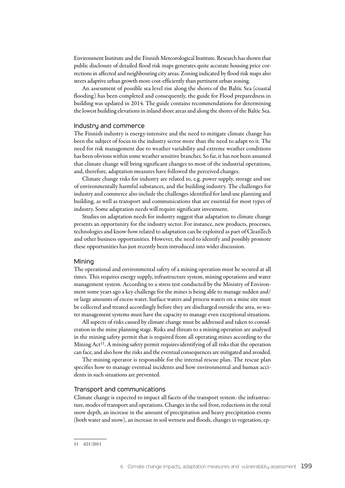Environment Institute and the Finnish Meteorological Institute. Research has shown that public disclosure of detailed flood risk maps generates quite accurate housing price corrections in affected and neighbouring city areas. Zoning indicated by flood risk maps also steers adaptive urban growth more cost-efficiently than pertinent urban zoning.

An assessment of possible sea level rise along the shores of the Baltic Sea (coastal flooding) has been completed and consequently, the guide for Flood preparedness in building was updated in 2014. The guide contains recommendations for determining the lowest building elevations in inland shore areas and along the shores of the Baltic Sea.

#### Industry and commerce

The Finnish industry is energy-intensive and the need to mitigate climate change has been the subject of focus in the industry sector more than the need to adapt to it. The need for risk management due to weather variability and extreme weather conditions has been obvious within some weather sensitive branches. So far, it has not been assumed that climate change will bring significant changes to most of the industrial operations, and, therefore, adaptation measures have followed the perceived changes.

Climate change risks for industry are related to, e.g. power supply, storage and use of environmentally harmful substances, and the building industry. The challenges for industry and commerce also include the challenges identified for land-use planning and building, as well as transport and communications that are essential for most types of industry. Some adaptation needs will require significant investment.

Studies on adaptation needs for industry suggest that adaptation to climate change presents an opportunity for the industry sector. For instance, new products, processes, technologies and know-how related to adaptation can be exploited as part of CleanTech and other business opportunities. However, the need to identify and possibly promote these opportunities has just recently been introduced into wider discussion.

#### Mining

The operational and environmental safety of a mining operation must be secured at all times. This requires energy supply, infrastructure system, mining operations and water management system. According to a stress test conducted by the Ministry of Environment some years ago a key challenge for the mines is being able to manage sudden and/ or large amounts of excess water. Surface waters and process waters on a mine site must be collected and treated accordingly before they are discharged outside the area, so water management systems must have the capacity to manage even exceptional situations.

All aspects of risks caused by climate change must be addressed and taken to consideration in the mine planning stage. Risks and threats to a mining operation are analysed in the mining safety permit that is required from all operating mines according to the Mining  $Act^{11}$ . A mining safety permit requires identifying of all risks that the operation can face, and also how the risks and the eventual consequences are mitigated and avoided.

The mining operator is responsible for the internal rescue plan. The rescue plan specifies how to manage eventual incidents and how environmental and human accidents in such situations are prevented.

#### Transport and communications

Climate change is expected to impact all facets of the transport system: the infrastructure, modes of transport and operations. Changes in the soil frost, reductions in the total snow depth, an increase in the amount of precipitation and heavy precipitation events (both water and snow), an increase in soil wetness and floods, changes in vegetation, ep-

<sup>11</sup> 621/2011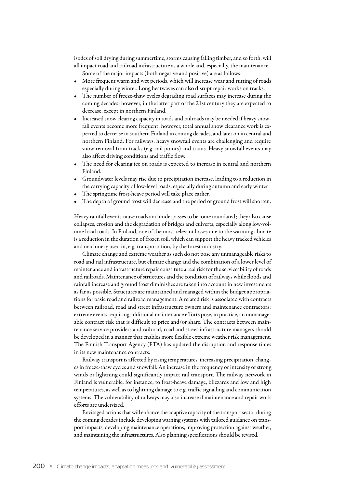isodes of soil drying during summertime, storms causing falling timber, and so forth, will all impact road and railroad infrastructure as a whole and, especially, the maintenance. Some of the major impacts (both negative and positive) are as follows:

- More frequent warm and wet periods, which will increase wear and rutting of roads especially during winter. Long heatwaves can also disrupt repair works on tracks.
- The number of freeze-thaw cycles degrading road surfaces may increase during the coming decades; however, in the latter part of the 21st century they are expected to decrease, except in northern Finland.
- Increased snow clearing capacity in roads and railroads may be needed if heavy snowfall events become more frequent; however, total annual snow clearance work is expected to decrease in southern Finland in coming decades, and later on in central and northern Finland. For railways, heavy snowfall events are challenging and require snow removal from tracks (e.g. rail points) and trains. Heavy snowfall events may also affect driving conditions and traffic flow.
- The need for clearing ice on roads is expected to increase in central and northern Finland.
- • Groundwater levels may rise due to precipitation increase, leading to a reduction in the carrying capacity of low-level roads, especially during autumn and early winter
- The springtime frost-heave period will take place earlier.
- The depth of ground frost will decrease and the period of ground frost will shorten.

Heavy rainfall events cause roads and underpasses to become inundated; they also cause collapses, erosion and the degradation of bridges and culverts, especially along low-volume local roads. In Finland, one of the most relevant losses due to the warming climate is a reduction in the duration of frozen soil, which can support the heavy tracked vehicles and machinery used in, e.g. transportation, by the forest industry.

Climate change and extreme weather as such do not pose any unmanageable risks to road and rail infrastructure, but climate change and the combination of a lower level of maintenance and infrastructure repair constitute a real risk for the serviceability of roads and railroads. Maintenance of structures and the condition of railways while floods and rainfall increase and ground frost diminishes are taken into account in new investments as far as possible. Structures are maintained and managed within the budget appropriations for basic road and railroad management. A related risk is associated with contracts between railroad, road and street infrastructure owners and maintenance contractors: extreme events requiring additional maintenance efforts pose, in practice, an unmanageable contract risk that is difficult to price and/or share. The contracts between maintenance service providers and railroad, road and street infrastructure managers should be developed in a manner that enables more flexible extreme weather risk management. The Finnish Transport Agency (FTA) has updated the disruption and response times in its new maintenance contracts.

Railway transport is affected by rising temperatures, increasing precipitation, changes in freeze-thaw cycles and snowfall. An increase in the frequency or intensity of strong winds or lightning could significantly impact rail transport. The railway network in Finland is vulnerable, for instance, to frost-heave damage, blizzards and low and high temperatures, as well as to lightning damage to e.g. traffic signalling and communication systems. The vulnerability of railways may also increase if maintenance and repair work efforts are undersized.

Envisaged actions that will enhance the adaptive capacity of the transport sector during the coming decades include developing warning systems with tailored guidance on transport impacts, developing maintenance operations, improving protection against weather, and maintaining the infrastructures. Also planning specifications should be revised.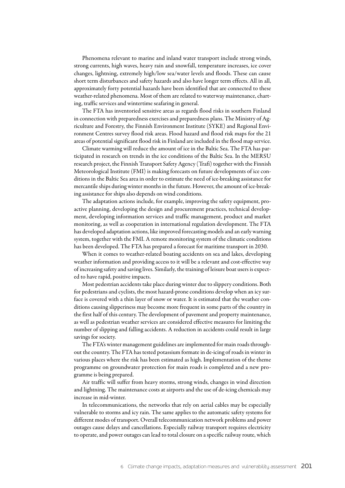Phenomena relevant to marine and inland water transport include strong winds, strong currents, high waves, heavy rain and snowfall, temperature increases, ice cover changes, lightning, extremely high/low sea/water levels and floods. These can cause short term disturbances and safety hazards and also have longer term effects. All in all, approximately forty potential hazards have been identified that are connected to these weather-related phenomena. Most of them are related to waterway maintenance, charting, traffic services and wintertime seafaring in general.

The FTA has inventoried sensitive areas as regards flood risks in southern Finland in connection with preparedness exercises and preparedness plans. The Ministry of Agriculture and Forestry, the Finnish Environment Institute (SYKE) and Regional Environment Centres survey flood risk areas. Flood hazard and flood risk maps for the 21 areas of potential significant flood risk in Finland are included in the flood map service.

Climate warming will reduce the amount of ice in the Baltic Sea. The FTA has participated in research on trends in the ice conditions of the Baltic Sea. In the MERSU research project, the Finnish Transport Safety Agency (Trafi) together with the Finnish Meteorological Institute (FMI) is making forecasts on future developments of ice conditions in the Baltic Sea area in order to estimate the need of ice-breaking assistance for mercantile ships during winter months in the future. However, the amount of ice-breaking assistance for ships also depends on wind conditions.

The adaptation actions include, for example, improving the safety equipment, proactive planning, developing the design and procurement practices, technical development, developing information services and traffic management, product and market monitoring, as well as cooperation in international regulation development. The FTA has developed adaptation actions, like improved forecasting models and an early warning system, together with the FMI. A remote monitoring system of the climatic conditions has been developed. The FTA has prepared a forecast for maritime transport in 2030.

When it comes to weather-related boating accidents on sea and lakes, developing weather information and providing access to it will be a relevant and cost-effective way of increasing safety and saving lives. Similarly, the training of leisure boat users is expected to have rapid, positive impacts.

Most pedestrian accidents take place during winter due to slippery conditions. Both for pedestrians and cyclists, the most hazard-prone conditions develop when an icy surface is covered with a thin layer of snow or water. It is estimated that the weather conditions causing slipperiness may become more frequent in some parts of the country in the first half of this century. The development of pavement and property maintenance, as well as pedestrian weather services are considered effective measures for limiting the number of slipping and falling accidents. A reduction in accidents could result in large savings for society.

The FTA's winter management guidelines are implemented for main roads throughout the country. The FTA has tested potassium formate in de-icing of roads in winter in various places where the risk has been estimated as high. Implementation of the theme programme on groundwater protection for main roads is completed and a new programme is being prepared.

Air traffic will suffer from heavy storms, strong winds, changes in wind direction and lightning. The maintenance costs at airports and the use of de-icing chemicals may increase in mid-winter.

In telecommunications, the networks that rely on aerial cables may be especially vulnerable to storms and icy rain. The same applies to the automatic safety systems for different modes of transport. Overall telecommunication network problems and power outages cause delays and cancellations. Especially railway transport requires electricity to operate, and power outages can lead to total closure on a specific railway route, which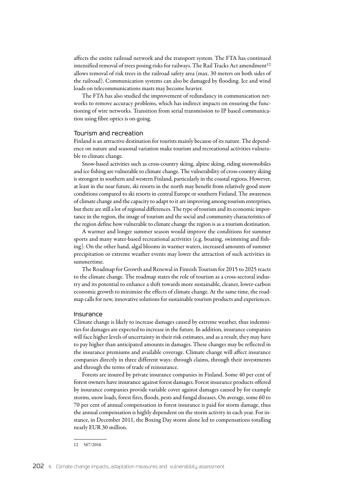affects the entire railroad network and the transport system. The FTA has continued intensified removal of trees posing risks for railways. The Rail Tracks Act amendment<sup>12</sup> allows removal of risk trees in the railroad safety area (max. 30 meters on both sides of the railroad). Communication systems can also be damaged by flooding. Ice and wind loads on telecommunications masts may become heavier.

The FTA has also studied the improvement of redundancy in communication networks to remove accuracy problems, which has indirect impacts on ensuring the functioning of wire networks. Transition from serial transmission to IP based communication using fibre optics is on-going.

#### Tourism and recreation

Finland is an attractive destination for tourists mainly because of its nature. The dependence on nature and seasonal variation make tourism and recreational activities vulnerable to climate change.

Snow-based activities such as cross-country skiing, alpine skiing, riding snowmobiles and ice fishing are vulnerable to climate change. The vulnerability of cross-country skiing is strongest in southern and western Finland, particularly in the coastal regions. However, at least in the near future, ski resorts in the north may benefit from relatively good snow conditions compared to ski resorts in central Europe or southern Finland. The awareness of climate change and the capacity to adapt to it are improving among tourism enterprises, but there are still a lot of regional differences. The type of tourism and its economic importance in the region, the image of tourism and the social and community characteristics of the region define how vulnerable to climate change the region is as a tourism destination.

A warmer and longer summer season would improve the conditions for summer sports and many water-based recreational activities (e.g. boating, swimming and fishing). On the other hand, algal blooms in warmer waters, increased amounts of summer precipitation or extreme weather events may lower the attraction of such activities in summertime.

The Roadmap for Growth and Renewal in Finnish Tourism for 2015 to 2025 reacts to the climate change. The roadmap states the role of tourism as a cross-sectoral industry and its potential to enhance a shift towards more sustainable, cleaner, lower-carbon economic growth to minimize the effects of climate change. At the same time, the roadmap calls for new, innovative solutions for sustainable tourism products and experiences.

#### Insurance

Climate change is likely to increase damages caused by extreme weather, thus indemnities for damages are expected to increase in the future. In addition, insurance companies will face higher levels of uncertainty in their risk estimates, and as a result, they may have to pay higher than anticipated amounts in damages. These changes may be reflected in the insurance premiums and available coverage. Climate change will affect insurance companies directly in three different ways: through claims, through their investments and through the terms of trade of reinsurance.

Forests are insured by private insurance companies in Finland. Some 40 per cent of forest owners have insurance against forest damages. Forest insurance products offered by insurance companies provide variable cover against damages caused by for example storms, snow loads, forest fires, floods, pests and fungal diseases. On average, some 60 to 70 per cent of annual compensation in forest insurance is paid for storm damage, thus the annual compensation is highly dependent on the storm activity in each year. For instance, in December 2011, the Boxing Day storm alone led to compensations totalling nearly EUR 30 million.

<sup>12</sup> 567/2016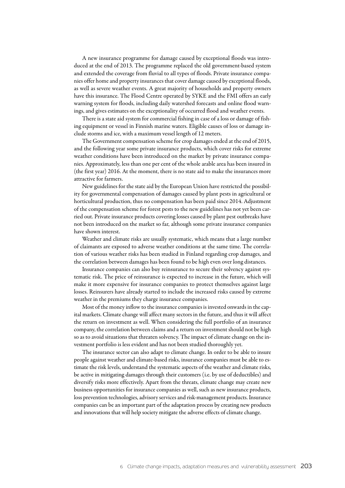A new insurance programme for damage caused by exceptional floods was introduced at the end of 2013. The programme replaced the old government-based system and extended the coverage from fluvial to all types of floods. Private insurance companies offer home and property insurances that cover damage caused by exceptional floods, as well as severe weather events. A great majority of households and property owners have this insurance. The Flood Centre operated by SYKE and the FMI offers an early warning system for floods, including daily watershed forecasts and online flood warnings, and gives estimates on the exceptionality of occurred flood and weather events.

There is a state aid system for commercial fishing in case of a loss or damage of fishing equipment or vessel in Finnish marine waters. Eligible causes of loss or damage include storms and ice, with a maximum vessel length of 12 meters.

The Government compensation scheme for crop damages ended at the end of 2015, and the following year some private insurance products, which cover risks for extreme weather conditions have been introduced on the market by private insurance companies. Approximately, less than one per cent of the whole arable area has been insured in (the first year) 2016. At the moment, there is no state aid to make the insurances more attractive for farmers.

New guidelines for the state aid by the European Union have restricted the possibility for governmental compensation of damages caused by plant pests in agricultural or horticultural production, thus no compensation has been paid since 2014. Adjustment of the compensation scheme for forest pests to the new guidelines has not yet been carried out. Private insurance products covering losses caused by plant pest outbreaks have not been introduced on the market so far, although some private insurance companies have shown interest.

Weather and climate risks are usually systematic, which means that a large number of claimants are exposed to adverse weather conditions at the same time. The correlation of various weather risks has been studied in Finland regarding crop damages, and the correlation between damages has been found to be high even over long distances.

Insurance companies can also buy reinsurance to secure their solvency against systematic risk. The price of reinsurance is expected to increase in the future, which will make it more expensive for insurance companies to protect themselves against large losses. Reinsurers have already started to include the increased risks caused by extreme weather in the premiums they charge insurance companies.

Most of the money inflow to the insurance companies is invested onwards in the capital markets. Climate change will affect many sectors in the future, and thus it will affect the return on investment as well. When considering the full portfolio of an insurance company, the correlation between claims and a return on investment should not be high so as to avoid situations that threaten solvency. The impact of climate change on the investment portfolio is less evident and has not been studied thoroughly yet.

The insurance sector can also adapt to climate change. In order to be able to insure people against weather and climate-based risks, insurance companies must be able to estimate the risk levels, understand the systematic aspects of the weather and climate risks, be active in mitigating damages through their customers (i.e. by use of deductibles) and diversify risks more effectively. Apart from the threats, climate change may create new business opportunities for insurance companies as well, such as new insurance products, loss prevention technologies, advisory services and risk-management products. Insurance companies can be an important part of the adaptation process by creating new products and innovations that will help society mitigate the adverse effects of climate change.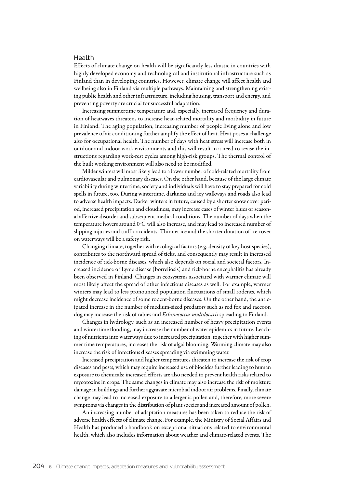#### Health

Effects of climate change on health will be significantly less drastic in countries with highly developed economy and technological and institutional infrastructure such as Finland than in developing countries. However, climate change will affect health and wellbeing also in Finland via multiple pathways. Maintaining and strengthening existing public health and other infrastructure, including housing, transport and energy, and preventing poverty are crucial for successful adaptation.

Increasing summertime temperature and, especially, increased frequency and duration of heatwaves threatens to increase heat-related mortality and morbidity in future in Finland. The aging population, increasing number of people living alone and low prevalence of air conditioning further amplify the effect of heat. Heat poses a challenge also for occupational health. The number of days with heat stress will increase both in outdoor and indoor work environments and this will result in a need to revise the instructions regarding work-rest cycles among high-risk groups. The thermal control of the built working environment will also need to be modified.

Milder winters will most likely lead to a lower number of cold-related mortality from cardiovascular and pulmonary diseases. On the other hand, because of the large climate variability during wintertime, society and individuals will have to stay prepared for cold spells in future, too. During wintertime, darkness and icy walkways and roads also lead to adverse health impacts. Darker winters in future, caused by a shorter snow cover period, increased precipitation and cloudiness, may increase cases of winter blues or seasonal affective disorder and subsequent medical conditions. The number of days when the temperature hovers around 0°C will also increase, and may lead to increased number of slipping injuries and traffic accidents. Thinner ice and the shorter duration of ice cover on waterways will be a safety risk.

Changing climate, together with ecological factors (e.g. density of key host species), contributes to the northward spread of ticks, and consequently may result in increased incidence of tick-borne diseases, which also depends on social and societal factors. Increased incidence of Lyme disease (borreliosis) and tick-borne encephalitis has already been observed in Finland. Changes in ecosystems associated with warmer climate will most likely affect the spread of other infectious diseases as well. For example, warmer winters may lead to less pronounced population fluctuations of small rodents, which might decrease incidence of some rodent-borne diseases. On the other hand, the anticipated increase in the number of medium-sized predators such as red fox and raccoon dog may increase the risk of rabies and *Echinococcus multilocaris* spreading to Finland.

Changes in hydrology, such as an increased number of heavy precipitation events and wintertime flooding, may increase the number of water epidemics in future. Leaching of nutrients into waterways due to increased precipitation, together with higher summer time temperatures, increases the risk of algal blooming. Warming climate may also increase the risk of infectious diseases spreading via swimming water.

Increased precipitation and higher temperatures threaten to increase the risk of crop diseases and pests, which may require increased use of biocides further leading to human exposure to chemicals; increased efforts are also needed to prevent health risks related to mycotoxins in crops. The same changes in climate may also increase the risk of moisture damage in buildings and further aggravate microbial indoor air problems. Finally, climate change may lead to increased exposure to allergenic pollen and, therefore, more severe symptoms via changes in the distribution of plant species and increased amount of pollen.

An increasing number of adaptation measures has been taken to reduce the risk of adverse health effects of climate change. For example, the Ministry of Social Affairs and Health has produced a handbook on exceptional situations related to environmental health, which also includes information about weather and climate-related events. The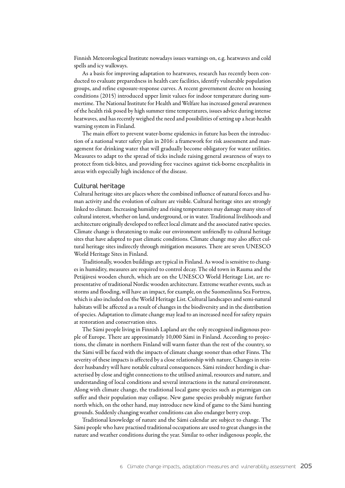Finnish Meteorological Institute nowadays issues warnings on, e.g. heatwaves and cold spells and icy walkways.

As a basis for improving adaptation to heatwaves, research has recently been conducted to evaluate preparedness in health care facilities, identify vulnerable population groups, and refine exposure-response curves. A recent government decree on housing conditions (2015) introduced upper limit values for indoor temperature during summertime. The National Institute for Health and Welfare has increased general awareness of the health risk posed by high summer time temperatures, issues advice during intense heatwaves, and has recently weighed the need and possibilities of setting up a heat-health warning system in Finland.

The main effort to prevent water-borne epidemics in future has been the introduction of a national water safety plan in 2016: a framework for risk assessment and management for drinking water that will gradually become obligatory for water utilities. Measures to adapt to the spread of ticks include raising general awareness of ways to protect from tick-bites, and providing free vaccines against tick-borne encephalitis in areas with especially high incidence of the disease.

#### Cultural heritage

Cultural heritage sites are places where the combined influence of natural forces and human activity and the evolution of culture are visible. Cultural heritage sites are strongly linked to climate. Increasing humidity and rising temperatures may damage many sites of cultural interest, whether on land, underground, or in water. Traditional livelihoods and architecture originally developed to reflect local climate and the associated native species. Climate change is threatening to make our environment unfriendly to cultural heritage sites that have adapted to past climatic conditions. Climate change may also affect cultural heritage sites indirectly through mitigation measures. There are seven UNESCO World Heritage Sites in Finland.

Traditionally, wooden buildings are typical in Finland. As wood is sensitive to changes in humidity, measures are required to control decay. The old town in Rauma and the Petäjävesi wooden church, which are on the UNESCO World Heritage List, are representative of traditional Nordic wooden architecture. Extreme weather events, such as storms and flooding, will have an impact, for example, on the Suomenlinna Sea Fortress, which is also included on the World Heritage List. Cultural landscapes and semi-natural habitats will be affected as a result of changes in the biodiversity and in the distribution of species. Adaptation to climate change may lead to an increased need for safety repairs at restoration and conservation sites.

The Sámi people living in Finnish Lapland are the only recognised indigenous people of Europe. There are approximately 10,000 Sámi in Finland. According to projections, the climate in northern Finland will warm faster than the rest of the country, so the Sámi will be faced with the impacts of climate change sooner than other Finns. The severity of these impacts is affected by a close relationship with nature. Changes in reindeer husbandry will have notable cultural consequences. Sámi reindeer herding is characterised by close and tight connections to the utilised animal, resources and nature, and understanding of local conditions and several interactions in the natural environment. Along with climate change, the traditional local game species such as ptarmigan can suffer and their population may collapse. New game species probably migrate further north which, on the other hand, may introduce new kind of game to the Sámi hunting grounds. Suddenly changing weather conditions can also endanger berry crop.

Traditional knowledge of nature and the Sámi calendar are subject to change. The Sámi people who have practised traditional occupations are used to great changes in the nature and weather conditions during the year. Similar to other indigenous people, the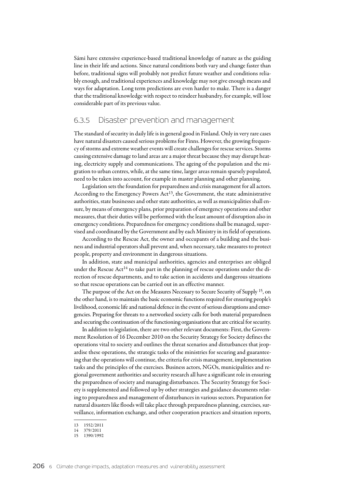Sámi have extensive experience-based traditional knowledge of nature as the guiding line in their life and actions. Since natural conditions both vary and change faster than before, traditional signs will probably not predict future weather and conditions reliably enough, and traditional experiences and knowledge may not give enough means and ways for adaptation. Long term predictions are even harder to make. There is a danger that the traditional knowledge with respect to reindeer husbandry, for example, will lose considerable part of its previous value.

### 6.3.5 Disaster prevention and management

The standard of security in daily life is in general good in Finland. Only in very rare cases have natural disasters caused serious problems for Finns. However, the growing frequency of storms and extreme weather events will create challenges for rescue services. Storms causing extensive damage to land areas are a major threat because they may disrupt heating, electricity supply and communications. The ageing of the population and the migration to urban centres, while, at the same time, larger areas remain sparsely populated, need to be taken into account, for example in master planning and other planning.

Legislation sets the foundation for preparedness and crisis management for all actors. According to the Emergency Powers Act<sup>13</sup>, the Government, the state administrative authorities, state businesses and other state authorities, as well as municipalities shall ensure, by means of emergency plans, prior preparation of emergency operations and other measures, that their duties will be performed with the least amount of disruption also in emergency conditions. Preparedness for emergency conditions shall be managed, supervised and coordinated by the Government and by each Ministry in its field of operations.

According to the Rescue Act, the owner and occupants of a building and the business and industrial operators shall prevent and, when necessary, take measures to protect people, property and environment in dangerous situations.

In addition, state and municipal authorities, agencies and enterprises are obliged under the Rescue Act<sup>14</sup> to take part in the planning of rescue operations under the direction of rescue departments, and to take action in accidents and dangerous situations so that rescue operations can be carried out in an effective manner.

The purpose of the Act on the Measures Necessary to Secure Security of Supply <sup>15</sup>, on the other hand, is to maintain the basic economic functions required for ensuring people's livelihood, economic life and national defence in the event of serious disruptions and emergencies. Preparing for threats to a networked society calls for both material preparedness and securing the continuation of the functioning organisations that are critical for security.

In addition to legislation, there are two other relevant documents: First, the Government Resolution of 16 December 2010 on the Security Strategy for Society defines the operations vital to society and outlines the threat scenarios and disturbances that jeopardise these operations, the strategic tasks of the ministries for securing and guaranteeing that the operations will continue, the criteria for crisis management, implementation tasks and the principles of the exercises. Business actors, NGOs, municipalities and regional government authorities and security research all have a significant role in ensuring the preparedness of society and managing disturbances. The Security Strategy for Society is supplemented and followed up by other strategies and guidance documents relating to preparedness and management of disturbances in various sectors. Preparation for natural disasters like floods will take place through preparedness planning, exercises, surveillance, information exchange, and other cooperation practices and situation reports,

<sup>13</sup> 1552/2011

<sup>14</sup> 379/2011

<sup>15</sup> 1390/1992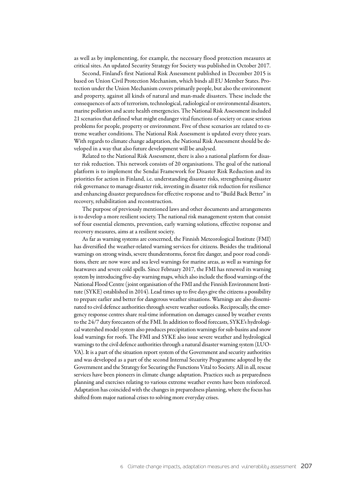as well as by implementing, for example, the necessary flood protection measures at critical sites. An updated Security Strategy for Society was published in October 2017.

Second, Finland's first National Risk Assessment published in December 2015 is based on Union Civil Protection Mechanism, which binds all EU Member States. Protection under the Union Mechanism covers primarily people, but also the environment and property, against all kinds of natural and man-made disasters. These include the consequences of acts of terrorism, technological, radiological or environmental disasters, marine pollution and acute health emergencies. The National Risk Assessment included 21 scenarios that defined what might endanger vital functions of society or cause serious problems for people, property or environment. Five of these scenarios are related to extreme weather conditions. The National Risk Assessment is updated every three years. With regards to climate change adaptation, the National Risk Assessment should be developed in a way that also future development will be analysed.

Related to the National Risk Assessment, there is also a national platform for disaster risk reduction. This network consists of 20 organisations. The goal of the national platform is to implement the Sendai Framework for Disaster Risk Reduction and its priorities for action in Finland, i.e. understanding disaster risks, strengthening disaster risk governance to manage disaster risk, investing in disaster risk reduction for resilience and enhancing disaster preparedness for effective response and to "Build Back Better" in recovery, rehabilitation and reconstruction.

The purpose of previously mentioned laws and other documents and arrangements is to develop a more resilient society. The national risk management system that consist sof four essential elements, prevention, early warning solutions, effective response and recovery measures, aims at a resilient society.

As far as warning systems are concerned, the Finnish Meteorological Institute (FMI) has diversified the weather-related warning services for citizens. Besides the traditional warnings on strong winds, severe thunderstorms, forest fire danger, and poor road conditions, there are now wave and sea level warnings for marine areas, as well as warnings for heatwaves and severe cold spells. Since February 2017, the FMI has renewed its warning system by introducing five-day warning maps, which also include the flood warnings of the National Flood Centre (joint organisation of the FMI and the Finnish Environment Institute (SYKE) established in 2014). Lead times up to five days give the citizens a possibility to prepare earlier and better for dangerous weather situations. Warnings are also disseminated to civil defence authorities through severe weather outlooks. Reciprocally, the emergency response centres share real-time information on damages caused by weather events to the 24/7 duty forecasters of the FMI. In addition to flood forecasts, SYKE's hydrological watershed model system also produces precipitation warnings for sub-basins and snow load warnings for roofs. The FMI and SYKE also issue severe weather and hydrological warnings to the civil defence authorities through a natural disaster warning system (LUO-VA). It is a part of the situation report system of the Government and security authorities and was developed as a part of the second Internal Security Programme adopted by the Government and the Strategy for Securing the Functions Vital to Society. All in all, rescue services have been pioneers in climate change adaptation. Practices such as preparedness planning and exercises relating to various extreme weather events have been reinforced. Adaptation has coincided with the changes in preparedness planning, where the focus has shifted from major national crises to solving more everyday crises.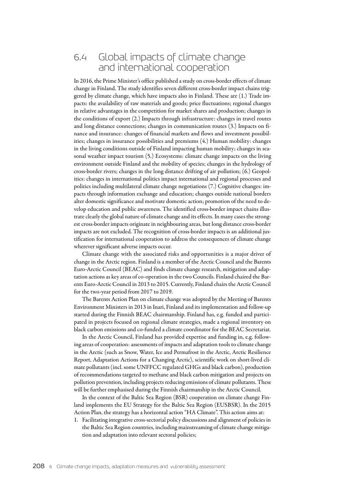# 6.4 Global impacts of climate change and international cooperation

In 2016, the Prime Minister's office published a study on cross-border effects of climate change in Finland. The study identifies seven different cross-border impact chains triggered by climate change, which have impacts also in Finland. These are (1.) Trade impacts: the availability of raw materials and goods; price fluctuations; regional changes in relative advantages in the competition for market shares and production; changes in the conditions of export (2.) Impacts through infrastructure: changes in travel routes and long distance connections; changes in communication routes (3.) Impacts on finance and insurance: changes of financial markets and flows and investment possibilities; changes in insurance possibilities and premiums (4.) Human mobility: changes in the living conditions outside of Finland impacting human mobility; changes in seasonal weather impact tourism (5.) Ecosystems: climate change impacts on the living environment outside Finland and the mobility of species; changes in the hydrology of cross-border rivers; changes in the long distance drifting of air pollution; (6.) Geopolitics: changes in international politics impact international and regional processes and politics including multilateral climate change negotiations (7.) Cognitive changes: impacts through information exchange and education; changes outside national borders alter domestic significance and motivate domestic action; promotion of the need to develop education and public awareness. The identified cross-border impact chains illustrate clearly the global nature of climate change and its effects. In many cases the strongest cross-border impacts originate in neighbouring areas, but long distance cross-border impacts are not excluded. The recognition of cross-border impacts is an additional justification for international cooperation to address the consequences of climate change wherever significant adverse impacts occur.

Climate change with the associated risks and opportunities is a major driver of change in the Arctic region. Finland is a member of the Arctic Council and the Barents Euro-Arctic Council (BEAC) and finds climate change research, mitigation and adaptation actions as key areas of co-operation in the two Councils. Finland chaired the Barents Euro-Arctic Council in 2013 to 2015. Currently, Finland chairs the Arctic Council for the two-year period from 2017 to 2019.

The Barents Action Plan on climate change was adopted by the Meeting of Barents Environment Ministers in 2013 in Inari, Finland and its implementation and follow-up started during the Finnish BEAC chairmanship. Finland has, e.g. funded and participated in projects focused on regional climate strategies, made a regional inventory on black carbon emissions and co-funded a climate coordinator for the BEAC Secretariat.

In the Arctic Council, Finland has provided expertise and funding in, e.g. following areas of cooperation: assessments of impacts and adaptation tools to climate change in the Arctic (such as Snow, Water, Ice and Permafrost in the Arctic, Arctic Resilience Report, Adaptation Actions for a Changing Arctic), scientific work on short-lived climate pollutants (incl. some UNFFCC regulated GHGs and black carbon), production of recommendations targeted to methane and black carbon mitigation and projects on pollution prevention, including projects reducing emissions of climate pollutants. These will be further emphasised during the Finnish chairmanship in the Arctic Council.

In the context of the Baltic Sea Region (BSR) cooperation on climate change Finland implements the EU Strategy for the Baltic Sea Region (EUSBSR). In the 2015 Action Plan, the strategy has a horizontal action "HA Climate". This action aims at:

1. Facilitating integrative cross-sectorial policy discussions and alignment of policies in the Baltic Sea Region countries, including mainstreaming of climate change mitigation and adaptation into relevant sectoral policies;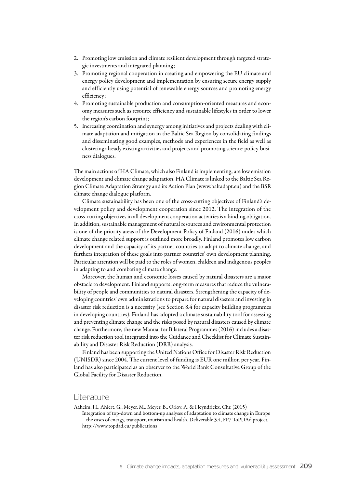- 2. Promoting low emission and climate resilient development through targeted strategic investments and integrated planning;
- 3. Promoting regional cooperation in creating and empowering the EU climate and energy policy development and implementation by ensuring secure energy supply and efficiently using potential of renewable energy sources and promoting energy efficiency;
- 4. Promoting sustainable production and consumption-oriented measures and economy measures such as resource efficiency and sustainable lifestyles in order to lower the region's carbon footprint;
- 5. Increasing coordination and synergy among initiatives and projects dealing with climate adaptation and mitigation in the Baltic Sea Region by consolidating findings and disseminating good examples, methods and experiences in the field as well as clustering already existing activities and projects and promoting science-policy-business dialogues.

The main actions of HA Climate, which also Finland is implementing, are low emission development and climate change adaptation. HA Climate is linked to the Baltic Sea Region Climate Adaptation Strategy and its Action Plan ([www.baltadapt.eu](http://www.baltadapt.eu)) and the BSR climate change dialogue platform.

Climate sustainability has been one of the cross-cutting objectives of Finland's development policy and development cooperation since 2012. The integration of the cross-cutting objectives in all development cooperation activities is a binding obligation. In addition, sustainable management of natural resources and environmental protection is one of the priority areas of the Development Policy of Finland (2016) under which climate change related support is outlined more broadly. Finland promotes low carbon development and the capacity of its partner countries to adapt to climate change, and furthers integration of these goals into partner countries' own development planning. Particular attention will be paid to the roles of women, children and indigenous peoples in adapting to and combating climate change.

Moreover, the human and economic losses caused by natural disasters are a major obstacle to development. Finland supports long-term measures that reduce the vulnerability of people and communities to natural disasters. Strengthening the capacity of developing countries' own administrations to prepare for natural disasters and investing in disaster risk reduction is a necessity (see Section 8.4 for capacity building programmes in developing countries). Finland has adopted a climate sustainability tool for assessing and preventing climate change and the risks posed by natural disasters caused by climate change. Furthermore, the new Manual for Bilateral Programmes (2016) includes a disaster risk reduction tool integrated into the Guidance and Checklist for Climate Sustainability and Disaster Risk Reduction (DRR) analysis.

Finland has been supporting the United Nations Office for Disaster Risk Reduction (UNISDR) since 2004. The current level of funding is EUR one million per year. Finland has also participated as an observer to the World Bank Consultative Group of the Global Facility for Disaster Reduction.

### Literature

Aaheim, H., Ahlert, G., Meyer, M., Meyer, B., Orlov, A. & Heyndrickx, Chr. (2015) Integration of top-down and bottom-up analyses of adaptation to climate change in Europe – the cases of energy, transport, tourism and health. Deliverable 3.4, FP7 ToPDAd project, <http://www.topdad.eu/publications>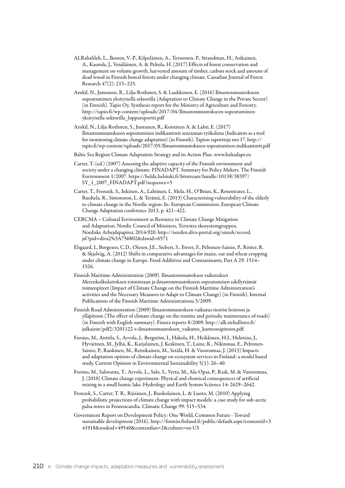- ALRahahleh, L., Ikonen, V.-P., Kilpeläinen, A., Torssonen, P., Strandman, H., Asikainen, A., Kaurola, J., Venäläinen, A. & Peltola, H. (2017) Effects of forest conservation and management on volume growth, harvested amount of timber, carbon stock and amount of dead wood in Finnish boreal forests under changing climate. Canadian Journal of Forest Research 47(2): 215–225.
- Arnkil, N., Juntunen, R., Lilja-Rothsten, S. & Laukkonen, E. (2016) Ilmastonmuutokseen sopeutuminen yksityisellä sektorilla (Adaptation to Climate Change in the Private Sector) (in Finnish). Tapio Oy. Synthesis report for the Ministry of Agriculture and Forestry. http://tapio.fi/wp-content/uploads/2017/04/Ilmastonmuutokseen-sopeutuminenyksityisella-sektorilla\_loppuraportti.pdf
- Arnkil, N., Lilja-Rothsten, S., Juntunen, R., Koistinen A. & Lahti, E. (2017) Ilmastonmuutokseen sopeutumisen indikaattorit seurannan työkaluna (Indicators as a tool for monitoring climate change adaptation) (in Finnish). Tapion raportteja nro 17. [http://](http://tapio.fi/wp-content/uploads/2017/05/Ilmastonmuutokseen-sopeutumisen-indikaattorit.pdf) [tapio.fi/wp-content/uploads/2017/05/Ilmastonmuutokseen-sopeutumisen-indikaattorit.pdf](http://tapio.fi/wp-content/uploads/2017/05/Ilmastonmuutokseen-sopeutumisen-indikaattorit.pdf)
- Baltic Sea Region Climate Adaptation Strategy and its Action Plan. [www.baltadapt.eu](http://www.baltadapt.eu)
- Carter, T. (ed.) (2007) Assessing the adaptive capacity of the Finnish environment and society under a changing climate: FINADAPT. Summary for Policy Makers. The Finnish Environment 1/2007. [https://helda.helsinki.fi/bitstream/handle/10138/38397/](https://helda.helsinki.fi/bitstream/handle/10138/38397/SY_1_2007_FINADAPT.pdf?sequence=5) [SY\\_1\\_2007\\_FINADAPT.pdf ?sequence=5](https://helda.helsinki.fi/bitstream/handle/10138/38397/SY_1_2007_FINADAPT.pdf?sequence=5)
- Carter, T., Fronzek, S., Inkinen, A., Lahtinen, I., Mela, H., O'Brian, K., Rosentrater, L., Ruuhela, R., Simonsson, L. & Terämä, E. (2013) Characterising vulnerability of the elderly to climate change in the Nordic region. In: European Commission, European Climate Change Adaptation conference 2013, p. 421–422.
- CERCMA Cultural Environment as Resource in Climate Change Mitigation and Adaptation. Nordic Council of Ministers, Terrestra ekosystemgruppen. Nordiske Arbejdspapirer, 2014:920. [http://norden.diva-portal.org/smash/record.](http://norden.diva-portal.org/smash/record.jsf?pid=diva2%3A756802&dswid=6571) [jsf ?pid=diva2%3A756802&dswid=6571](http://norden.diva-portal.org/smash/record.jsf?pid=diva2%3A756802&dswid=6571)
- Elsgaard, I., Børgesen, C.D., Olesen, J.E., Siebert, S., Ewert, F., Peltonen-Sainio, P., Rötter, R. & Skjelvåg, A. (2012) Shifts in comparative advantages for maize, oat and wheat cropping under climate change in Europe. Food Additives and Contaminants, Part A 29: 1514– 1526.
- Finnish Maritime Administration (2009). Ilmastonmuutoksen vaikutukset Merenkulkulaitoksen toimintaan ja ilmastonmuutokseen sopeutumisen edellyttämät toimenpiteet (Impact of Climate Change on the Finnish Maritime Administration's activities and the Necessary Measures to Adapt to Climate Change) (in Finnish). Internal Publications of the Finnish Maritime Administrationa 3/2009.
- Finnish Road Administration (2009) Ilmastonmuutoksen vaikutus tiestön hoitoon ja ylläpitoon (The effect of climate change on the routine and periodic maintenance of roads) (in Finnish with English summary). Finnra reports 8/2009. [http://alk.tiehallinto.fi/](http://alk.tiehallinto.fi/julkaisut/pdf2/3201122-v-ilmastonmuutoksen_vaikutus_kunnossapitoon.pdf) [julkaisut/pdf2/3201122-v-ilmastonmuutoksen\\_vaikutus\\_kunnossapitoon.pdf](http://alk.tiehallinto.fi/julkaisut/pdf2/3201122-v-ilmastonmuutoksen_vaikutus_kunnossapitoon.pdf).
- Forsius, M., Anttila, S., Arvola, L. Bergstöm, I., Hakola, H., Heikkinen, H.I., Helenius, J., Hyvärinen, M., Jylhä, K., Karjalainen, J. Keskinen, T., Laine, K., Nikinmaa, E., Peltonen-Sainio, P., Rankinen, M., Reinikainen, M., Setälä, H. & Vuorenmaa, J. (2013) Impacts and adaptation options of climate change on ecosystem services in Finland: a model based study. Current Opinion in Environmental Sustainability 5(1): 26–40.
- Forsius, M., Saloranta, T., Arvola, L., Salo, S., Verta, M., Ala-Opas, P., Rask, M. & Vuorenmaa, J. (2010) Climate change experiment: Physical and chemical consequences of artificial mixing in a small humic lake. Hydrology and Earth System Sciience 14: 2629–2642.
- Fronzek, S., Carter, T. R., Räisänen, J., Ruokolainen, L. & Luoto, M. (2010) Applying probabilistic projections of climate change with impact models: a case study for sub-arctic palsa mires in Fennoscandia. Climatic Change 99: 515–534.
- Government Report on Development Policy: One World, Common Future Toward sustainable development (2016). [http://formin.finland.fi/public/default.aspx?contentid=3](http://formin.finland.fi/public/default.aspx?contentid=341918&nodeid=49540&contentlan=2&culture=en-US) [41918&nodeid=49540&contentlan=2&culture=en-US](http://formin.finland.fi/public/default.aspx?contentid=341918&nodeid=49540&contentlan=2&culture=en-US)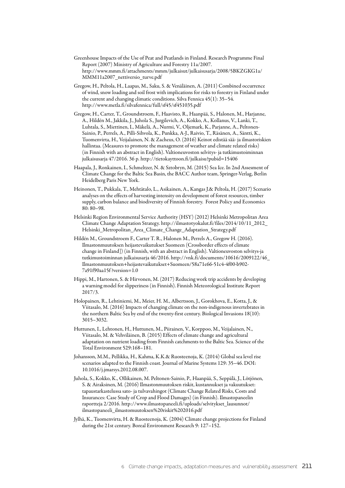- Greenhouse Impacts of the Use of Peat and Peatlands in Finland. Research Programme Final Report (2007) Ministry of Agriculture and Forestry 11a/2007. [http://www.mmm.fi/attachments/mmm/julkaisut/julkaisusarja/2008/5BKZGKG1a/](http://www.mmm.fi/attachments/mmm/julkaisut/julkaisusarja/2008/5BKZGKG1a/MMM11a2007_nettiversio_turve.pdf) MMM11a2007 nettiversio turve.pdf
- Gregow, H., Peltola, H., Laapas, M., Saku, S. & Venäläinen, A. (2011) Combined occurrence of wind, snow loading and soil frost with implications for risks to forestry in Finland under the current and changing climatic conditions. Silva Fennica 45(1): 35–54. <http://www.metla.fi/silvafennica/full/sf45/sf451035.pdf>
- Gregow, H., Carter, T., Groundstroem, F., Haavisto, R., Haanpää, S., Halonen, M., Harjanne, A., Hildén M., Jakkila, J., Juhola S., Jurgilevich, A., Kokko, A., Kollanus, V., Lanki, T., Luhtala, S., Miettinen, I., Mäkelä, A., Nurmi, V., Oljemark, K., Parjanne, A., Peltonen-Sainio, P., Perrels, A., Pilli-Sihvola, K., Punkka, A-J., Raivio, T., Räsänen, A., Säntti, K., Tuomenvirta, H., Veijalainen, N. & Zacheus, O. (2016) Keinot edistää sää- ja ilmastoriskien hallintaa. (Measures to promote the management of weather and climate related risks) (in Finnish with an abstract in English). Valtioneuvoston selvitys- ja tutkimustoiminnan julkaisusarja 47/2016. 36 p. http://tietokayttoon.fi/julkaisu?pubid=15406
- Haapala, J., Ronkainen, I., Schmeltzer, N. & Sztobryn, M. (2015) Sea Ice. In 2nd Assesment of Climate Change for the Baltic Sea Basin, the BACC Author team, Springer-Verlag, Berlin Heidelberg Paris New York.
- Heinonen, T., Pukkala, T., Mehtätalo, L., Asikainen, A., Kangas J.& Peltola, H. (2017) Scenario analyses on the effects of harvesting intensity on development of forest resources, timber supply, carbon balance and biodiversity of Finnish forestry. Forest Policy and Economics 80: 80–98.
- Helsinki Region Environmental Service Authority (HSY) (2012) Helsinki Metropolitan Area Climate Change Adaptation Strategy. [http://ilmastotyokalut.fi/files/2014/10/11\\_2012\\_](http://ilmastotyokalut.fi/files/2014/10/11_2012_Helsinki_Metropolitan_Area_Climate_Change_Adaptation_Strategy.pdf) [Helsinki\\_Metropolitan\\_Area\\_Climate\\_Change\\_Adaptation\\_Strategy.pdf](http://ilmastotyokalut.fi/files/2014/10/11_2012_Helsinki_Metropolitan_Area_Climate_Change_Adaptation_Strategy.pdf)
- Hildén M., Groundstroem F., Carter T. R., Halonen M., Perrels A., Gregow H. (2016). Ilmastonmuutoksen heijastevaikutukset Suomeen (Crossborder effects of climate change in Finland]) (in Finnish, with an abstract in English). Valtioneuvoston selvitys-ja tutkimustoiminnan julkaisusarja 46/2016. [http://vnk.fi/documents/10616/2009122/46\\_](http://vnk.fi/documents/10616/2009122/46_Ilmastonmuutoksen+heijastevaikutukset+Suomeen/58a71e66-51c4-4f00-b902-7a91f90aa15f?version=1.0) [Ilmastonmuutoksen+heijastevaikutukset+Suomeen/58a71e66-51c4-4f00-b902-](http://vnk.fi/documents/10616/2009122/46_Ilmastonmuutoksen+heijastevaikutukset+Suomeen/58a71e66-51c4-4f00-b902-7a91f90aa15f?version=1.0) [7a91f90aa15f ?version=1.0](http://vnk.fi/documents/10616/2009122/46_Ilmastonmuutoksen+heijastevaikutukset+Suomeen/58a71e66-51c4-4f00-b902-7a91f90aa15f?version=1.0)
- Hippi, M., Hartonen, S. & Hirvonen, M. (2017) Reducing work trip accidents by developing a warning model for slipperiness (in Finnish). Finnish Meteorological Institute Report 2017/3.
- Holopainen, R., Lehtiniemi, M., Meier, H. M., Albertsson, J., Gorokhova, E., Kotta, J., & Viitasalo, M. (2016) Impacts of changing climate on the non-indigenous invertebrates in the northern Baltic Sea by end of the twenty-first century. Biological Invasions 18(10): 3015–3032.
- Huttunen, I., Lehtonen, H., Huttunen, M., Piirainen, V., Korppoo, M., Veijalainen, N., Viitasalo, M. & Vehviläinen, B. (2015) Effects of climate change and agricultural adaptation on nutrient loading from Finnish catchments to the Baltic Sea. Science of the Total Environment 529:168–181.
- Johansson, M.M., Pellikka, H., Kahma, K.K.& Ruosteenoja, K. (2014) Global sea level rise scenarios adapted to the Finnish coast. Journal of Marine Systems 129: 35–46. DOI: 10.1016/j.jmarsys.2012.08.007.
- Juhola, S., Kokko, K., Ollikainen, M. Peltonen-Sainio, P., Haanpää, S., Seppälä, J., Lötjönen, S. & Airaksinen, M. (2016) Ilmastonmuutoksen riskit, kustannukset ja vakuutukset: tapaustarkastelussa sato- ja tulvavahingot (Climate Change Related Risks, Costs and Insurances: Case Study of Crop and Flood Damages) (in Finnish). Ilmastopaneelin raportteja 2/2016. [http://www.ilmastopaneeli.fi/uploads/selvitykset\\_lausunnot/](http://www.ilmastopaneeli.fi/uploads/selvitykset_lausunnot/ilmastopaneeli_ilmastomuutoksen%20riskit%202016.pdf) [ilmastopaneeli\\_ilmastomuutoksen%20riskit%202016.pdf](http://www.ilmastopaneeli.fi/uploads/selvitykset_lausunnot/ilmastopaneeli_ilmastomuutoksen%20riskit%202016.pdf)
- Jylhä, K., Tuomenvirta, H. & Ruosteenoja, K. (2004) Climate change projections for Finland during the 21st century. Boreal Environment Research 9: 127–152.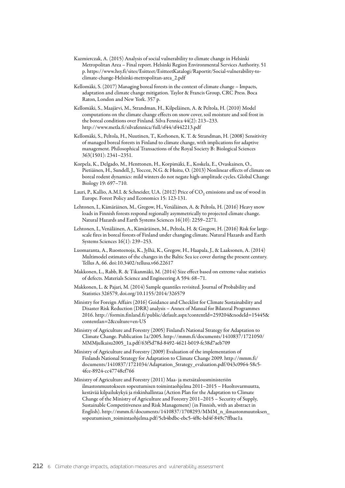- Kazmierczak, A. (2015) Analysis of social vulnerability to climate change in Helsinki Metropolitan Area – Final report. Helsinki Region Environmental Services Authority. 51 p. [https://www.hsy.fi/sites/Esitteet/EsitteetKatalogi/Raportit/Social-vulnerability-to](https://www.hsy.fi/sites/Esitteet/EsitteetKatalogi/Raportit/Social-vulnerability-to-climate-change-Helsinki-metropolitan-area_2.pdf)[climate-change-Helsinki-metropolitan-area\\_2.pdf](https://www.hsy.fi/sites/Esitteet/EsitteetKatalogi/Raportit/Social-vulnerability-to-climate-change-Helsinki-metropolitan-area_2.pdf)
- Kellomäki, S. (2017) Managing boreal forests in the context of climate change Impacts, adaptation and climate change mitigation. Taylor & Francis Group, CRC Press. Boca Raton, London and New York. 357 p.
- Kellomäki, S., Maajärvi, M., Strandman, H., Kilpeläinen, A. & Peltola, H. (2010) Model computations on the climate change effects on snow cover, soil moisture and soil frost in the boreal conditions over Finland. Silva Fennica 44(2): 213–233. <http://www.metla.fi/silvafennica/full/sf44/sf442213.pdf>
- Kellomäki, S., Peltola, H., Nuutinen, T., Korhonen, K. T. & Strandman, H. (2008) Sensitivity of managed boreal forests in Finland to climate change, with implications for adaptive management. Philosophical Transactions of the Royal Society B: Biological Sciences 363(1501): 2341–2351.
- Korpela, K., Delgado, M., Henttonen, H., Korpimäki, E., Koskela, E., Ovaskainen, O., Pietiäinen, H., Sundell, J., Yoccoz, N.G. & Huitu, O. (2013) Nonlinear effects of climate on boreal rodent dynamics: mild winters do not negate high-amplitude cycles. Global Change Biology 19: 697–710.
- Lauri, P., Kallio, A.M.I. & Schneider, U.A. (2012) Price of  $CO<sub>2</sub>$  emissions and use of wood in Europe. Forest Policy and Economics 15: 123-131.
- Lehtonen, I., Kämäräinen, M., Gregow, H., Venäläinen, A. & Peltola, H. (2016) Heavy snow loads in Finnish forests respond regionally asymmetrically to projected climate change. Natural Hazards and Earth Systems Sciences 16(10): 2259–2271.
- Lehtonen, I., Venäläinen, A., Kämäräinen, M., Peltola, H. & Gregow, H. (2016) Risk for largescale fires in boreal forests of Finland under changing climate. Natural Hazards and Earth Systems Sciences 16(1): 239–253.
- Luomaranta, A., Ruosteenoja, K., Jylhä, K., Gregow, H., Haapala, J., & Laaksonen, A. (2014) Multimodel estimates of the changes in the Baltic Sea ice cover during the present century. Tellus A, 66. doi:10.3402/tellusa.v66.22617
- Makkonen, L., Rabb, R. & Tikanmäki, M. (2014) Size effect based on extreme value statistics of defects. Materials Science and Engineering A 594: 68–71.
- Makkonen, L. & Pajari, M. (2014) Sample quantiles revisited. Journal of Probability and Statistics 326579, doi.org/10.1155/2014/326579
- Ministry for Foreign Affairs (2016) Guidance and Checklist for Climate Sustainability and Disaster Risk Reduction (DRR) analysis – Annex of Manual for Bilateral Programmes 2016. [http://formin.finland.fi/public/default.aspx?contentId=259204&nodeId=15445&](http://formin.finland.fi/public/default.aspx?contentId=259204&nodeId=15445&contentlan=2&culture=en-US) [contentlan=2&culture=en-US](http://formin.finland.fi/public/default.aspx?contentId=259204&nodeId=15445&contentlan=2&culture=en-US)
- Ministry of Agriculture and Forestry (2005) Finland's National Strategy for Adaptation to Climate Change. Publication 1a/2005. [http://mmm.fi/documents/1410837/1721050/](http://mmm.fi/documents/1410837/1721050/MMMjulkaisu2005_1a.pdf/63f5d78d-8492-4621-b019-fe38d7aeb709) [MMMjulkaisu2005\\_1a.pdf/63f5d78d-8492-4621-b019-fe38d7aeb709](http://mmm.fi/documents/1410837/1721050/MMMjulkaisu2005_1a.pdf/63f5d78d-8492-4621-b019-fe38d7aeb709)
- Ministry of Agriculture and Forestry (2009) Evaluation of the implementation of Finlands National Strategy for Adaptation to Climate Change 2009. [http://mmm.fi/](http://mmm.fi/documents/1410837/1721034/Adaptation_Strategy_evaluation.pdf/043c0964-58c5-4fce-8924-cc47748cf766) documents/1410837/1721034/Adaptation Strategy evaluation.pdf/043c0964-58c5-[4fce-8924-cc47748cf766](http://mmm.fi/documents/1410837/1721034/Adaptation_Strategy_evaluation.pdf/043c0964-58c5-4fce-8924-cc47748cf766)
- Ministry of Agriculture and Forestry (2011) Maa- ja metsätalousministeriön ilmastonmuutokseen sopeutumisen toimintaohjelma 2011–2015 – Huoltovarmuutta, kestävää kilpailukykyä ja riskinhallintaa (Action Plan for the Adaptation to Climate Change of the Ministry of Agriculture and Forestry 2011–2015 – Security of Supply, Sustainable Competitiveness and Risk Management) (in Finnish, with an abstract in English). [http://mmm.fi/documents/1410837/1708293/MMM\\_n\\_ilmastonmuutoksen\\_](http://mmm.fi/documents/1410837/1708293/MMM_n_ilmastonmuutoksen_sopeutumisen_toimintaohjelma.pdf/5cb4bdbc-ebc5-4f8c-bd4f-849c7ffbae1a) [sopeutumisen\\_toimintaohjelma.pdf/5cb4bdbc-ebc5-4f8c-bd4f-849c7ffbae1a](http://mmm.fi/documents/1410837/1708293/MMM_n_ilmastonmuutoksen_sopeutumisen_toimintaohjelma.pdf/5cb4bdbc-ebc5-4f8c-bd4f-849c7ffbae1a)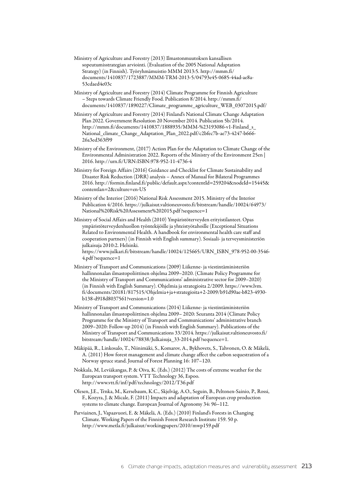- Ministry of Agriculture and Forestry (2013) Ilmastonmuutoksen kansallisen sopeutumisstrategian arviointi. (Evaluation of the 2005 National Adaptation Strategy) (in Finnish). Työryhmämuistio MMM 2013:5. [http://mmm.fi/](http://mmm.fi/documents/1410837/1723887/MMM-TRM-2013-5/04793e45-0685-44ad-ae8a-53cdaed4e03c) [documents/1410837/1723887/MMM-TRM-2013-5/04793e45-0685-44ad-ae8a-](http://mmm.fi/documents/1410837/1723887/MMM-TRM-2013-5/04793e45-0685-44ad-ae8a-53cdaed4e03c)[53cdaed4e03c](http://mmm.fi/documents/1410837/1723887/MMM-TRM-2013-5/04793e45-0685-44ad-ae8a-53cdaed4e03c)
- Ministry of Agriculture and Forestry (2014) Climate Programme for Finnish Agriculture – Steps towards Climate Friendly Food. Publication 8/2014. [http://mmm.fi/](http://mmm.fi/documents/1410837/1890227/Climate_programme_agriculture_WEB_03072015.pdf/) [documents/1410837/1890227/Climate\\_programme\\_agriculture\\_WEB\\_03072015.pdf/](http://mmm.fi/documents/1410837/1890227/Climate_programme_agriculture_WEB_03072015.pdf/)
- Ministry of Agriculture and Forestry (2014) Finland's National Climate Change Adaptation Plan 2022. Government Resolution 20 November 2014. Publication 5b/2014. [http://mmm.fi/documents/1410837/1888935/MMM-%23193086-v1-Finland\\_s\\_](http://mmm.fi/documents/1410837/1888935/MMM-%23193086-v1-Finland_s_National_climate_Change_Adaptation_Plan_2022.pdf/c2bfec7b-ae73-4247-b666-26a3ed363f99) [National\\_climate\\_Change\\_Adaptation\\_Plan\\_2022.pdf/c2bfec7b-ae73-4247-b666-](http://mmm.fi/documents/1410837/1888935/MMM-%23193086-v1-Finland_s_National_climate_Change_Adaptation_Plan_2022.pdf/c2bfec7b-ae73-4247-b666-26a3ed363f99) [26a3ed363f99](http://mmm.fi/documents/1410837/1888935/MMM-%23193086-v1-Finland_s_National_climate_Change_Adaptation_Plan_2022.pdf/c2bfec7b-ae73-4247-b666-26a3ed363f99)
- Ministry of the Environment, (2017) Action Plan for the Adaptation to Climate Change of the Environmental Administration 2022. Reports of the Ministry of the Environment 25en | 2016.<http://urn.fi/URN:ISBN:978-952-11-4736-4>
- Ministry for Foreign Affairs (2016) Guidance and Checklist for Climate Sustainability and Disaster Risk Reduction (DRR) analysis – Annex of Manual for Bilateral Programmes 2016. [http://formin.finland.fi/public/default.aspx?contentId=259204&nodeId=15445&](http://formin.finland.fi/public/default.aspx?contentId=259204&nodeId=15445&contentlan=2&culture=en-US) [contentlan=2&culture=en-US](http://formin.finland.fi/public/default.aspx?contentId=259204&nodeId=15445&contentlan=2&culture=en-US)
- Ministry of the Interior (2016) National Risk Assessment 2015. Ministry of the Interior Publication 4/2016. [https://julkaisut.valtioneuvosto.fi/bitstream/handle/10024/64973/](https://julkaisut.valtioneuvosto.fi/bitstream/handle/10024/64973/National%20Risk%20Assessment%202015.pdf?sequence=1) [National%20Risk%20Assessment%202015.pdf ?sequence=1](https://julkaisut.valtioneuvosto.fi/bitstream/handle/10024/64973/National%20Risk%20Assessment%202015.pdf?sequence=1)
- Ministry of Social Affairs and Health (2010) Ympäristöterveyden erityistilanteet. Opas ympäristöterveydenhuollon työntekijöille ja yhteistyötahoille (Exceptional Situations Related to Environmental Health. A handbook for environmental health care staff and cooperation partners) (in Finnish with English summary). Sosiaali- ja terveysministeriön julkaisuja 2010:2. Helsinki.

[https://www.julkari.fi/bitstream/handle/10024/125665/URN\\_ISBN\\_978-952-00-3546-](https://www.julkari.fi/bitstream/handle/10024/125665/URN_ISBN_978-952-00-3546-4.pdf?sequence=1) [4.pdf ?sequence=1](https://www.julkari.fi/bitstream/handle/10024/125665/URN_ISBN_978-952-00-3546-4.pdf?sequence=1)

- Ministry of Transport and Communications (2009) Liikenne- ja viestintäministeriön hallinnonalan ilmastopoliittinen ohjelma 2009–2020. (Climate Policy Programme for the Ministry of Transport and Communications' administrative sector for 2009–2020) (in Finnish with English Summary). Ohjelmia ja strategioita 2/2009. [https://www.lvm.](https://www.lvm.fi/documents/20181/817515/Ohjelmia+ja+strategioita+2-2009/b91d90ae-b823-4930-b138-d918d8037561?version=1.0) [fi/documents/20181/817515/Ohjelmia+ja+strategioita+2-2009/b91d90ae-b823-4930](https://www.lvm.fi/documents/20181/817515/Ohjelmia+ja+strategioita+2-2009/b91d90ae-b823-4930-b138-d918d8037561?version=1.0) [b138-d918d8037561?version=1.0](https://www.lvm.fi/documents/20181/817515/Ohjelmia+ja+strategioita+2-2009/b91d90ae-b823-4930-b138-d918d8037561?version=1.0)
- Ministry of Transport and Communications (2014) Liikenne- ja viestintäministeriön hallinnonalan ilmastopoliittinen ohjelma 2009– 2020: Seuranta 2014 (Climate Policy Programme for the Ministry of Transport and Communications' administrative branch 2009–2020: Follow-up 2014) (in Finnish with English Summary). Publications of the Ministry of Transport and Communications 33/2014. [https://julkaisut.valtioneuvosto.fi/](https://julkaisut.valtioneuvosto.fi/bitstream/handle/10024/78838/Julkaisuja_33-2014.pdf?sequence=1) [bitstream/handle/10024/78838/Julkaisuja\\_33-2014.pdf ?sequence=1](https://julkaisut.valtioneuvosto.fi/bitstream/handle/10024/78838/Julkaisuja_33-2014.pdf?sequence=1).
- Mäkipää, R., Linkosalo, T., Niinimäki, S., Komarov, A., Bykhovets, S., Tahvonen, O. & Mäkelä, A. (2011) How forest management and climate change affect the carbon sequestration of a Norway spruce stand. Journal of Forest Planning 16: 107–120.
- Nokkala, M, Leviäkangas, P. & Oiva, K. (Eds.) (2012) The costs of extreme weather for the European transport system. VTT Technology 36, Espoo. <http://www.vtt.fi/inf/pdf/technology/2012/T36.pdf>
- Olesen, J.E., Trnka, M., Kersebaum, K.C., Skjelvåg, A.O., Seguin, B., Peltonen-Sainio, P., Rossi, F., Kozyra, J. & Micale, F. (2011) Impacts and adaptation of European crop production systems to climate change. European Journal of Agronomy 34: 96–112.
- Parviainen, J., Vapaavuori, E. & Mäkelä, A. (Eds.) (2010) Finland's Forests in Changing Climate. Working Papers of the Finnish Forest Research Institute 159. 50 p. <http://www.metla.fi/julkaisut/workingpapers/2010/mwp159.pdf>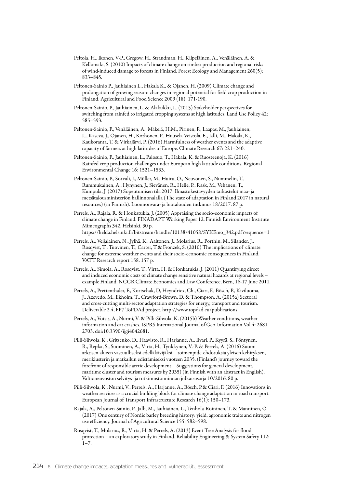- Peltola, H., Ikonen, V-P., Gregow, H., Strandman, H., Kilpeläinen, A., Venäläinen, A. & Kellomäki, S. (2010) Impacts of climate change on timber production and regional risks of wind-induced damage to forests in Finland. Forest Ecology and Management 260(5): 833–845.
- Peltonen-Sainio P., Jauhiainen L., Hakala K., & Ojanen, H. (2009) Climate change and prolongation of growing season: changes in regional potential for field crop production in Finland. Agricultural and Food Science 2009 (18): 171-190.
- Peltonen-Sainio, P., Jauhiainen, L. & Alakukku, L. (2015) Stakeholder perspectives for switching from rainfed to irrigated cropping systems at high latitudes. Land Use Policy 42: 585–593.
- Peltonen-Sainio, P., Venäläinen, A., Mäkelä, H.M., Pirinen, P., Laapas, M., Jauhiainen, L., Kaseva, J., Ojanen, H., Korhonen, P., Huusela-Veistola, E., Jalli, M., Hakala, K., Kaukoranta, T. & Virkajärvi, P. (2016) Harmfulness of weather events and the adaptive capacity of farmers at high latitudes of Europe. Climate Research 67: 221–240.
- Peltonen-Sainio, P., Jauhiainen, L., Palosuo, T., Hakala, K. & Ruosteenoja, K. (2016) Rainfed crop production challenges under European high latitude conditions. Regional Environmental Change 16: 1521–1533.
- Peltonen-Sainio, P., Sorvali, J., Müller, M., Huitu, O., Neuvonen, S., Nummelin, T., Rummukainen, A., Hynynen, J., Sievänen, R., Helle, P., Rask, M., Vehanen, T., Kumpula, J. (2017) Sopeutumisen tila 2017: Ilmastokestävyyden tarkastelut maa- ja metsätalousministeriön hallinnonalalla (The state of adaptation in Finland 2017 in natural resources) (in Finnish). Luonnonvara- ja biotalouden tutkimus 18/2017. 87 p.
- Perrels, A., Rajala, R. & Honkatukia, J. (2005) Appraising the socio-economic impacts of climate change in Finland. FINADAPT Working Paper 12. Finnish Environment Institute Mimeographs 342, Helsinki, 30 p. [https://helda.helsinki.fi/bitstream/handle/10138/41058/SYKEmo\\_342.pdf ?sequence=1](https://helda.helsinki.fi/bitstream/handle/10138/41058/SYKEmo_342.pdf?sequence=1)
- Perrels, A., Veijalainen, N., Jylhä, K., Aaltonen, J., Molarius, R., Porthin, M., Silander, J., Rosqvist, T., Tuovinen, T., Carter, T.& Fronzek, S. (2010) The implications of climate change for extreme weather events and their socio-economic consequences in Finland. VATT Research report 158. 157 p.
- Perrels, A., Simola, A., Rosqvist, T., Virta, H. & Honkatukia, J. (2011) Quantifying direct and induced economic costs of climate change sensitive natural hazards at regional levels – example Finland. NCCR Climate Economics and Law Conference, Bern, 16-17 June 2011.
- Perrels, A., Prettenthaler, F., Kortschak, D, Heyndricx, Ch., Ciari, F., Bösch, P., Kiviluoma, J., Azevedo, M., Ekholm, T., Crawford-Brown, D. & Thompson, A. (2015a) Sectoral and cross-cutting multi-sector adaptation strategies for energy, transport and tourism. Deliverable 2.4, FP7 ToPDAd project.<http://www.topdad.eu/publications>

Perrels, A., Votsis, A., Nurmi, V. & Pilli-Sihvola, K. (2015b) Weather conditions, weather information and car crashes. ISPRS International Journal of Geo-Information Vol.4: 2681- 2703. doi:10.3390/ijgi4042681.

- Pilli-Sihvola, K., Gritsenko, D., Haavisto, R., Harjanne, A., Iivari, P., Kyyrä, S., Pöntynen, R., Repka, S., Suominen, A., Virta, H., Tynkkynen, V.-P. & Perrels, A. (2016) Suomi arktisen alueen vastuulliseksi edelläkävijäksi – toimenpide-ehdotuksia yleisen kehityksen, meriklusterin ja matkailun edistämiseksi vuoteen 2035. (Finland's journey toward the forefront of responsible arctic development – Suggestions for general development, maritime cluster and tourism measures by 2035) (in Finnish with an abstract in English). Valtioneuvoston selvitys- ja tutkimustoiminnan julkaisusarja 10/2016. 80 p.
- Pilli-Sihvola, K., Nurmi, V., Perrels, A., Harjanne, A., Bösch, P.& Ciari, F. (2016) Innovations in weather services as a crucial building block for climate change adaptation in road transport. European Journal of Transport Infrastructure Research 16(1): 150–173.
- Rajala, A., Peltonen-Sainio, P., Jalli, M., Jauhiainen, L., Tenhola-Roininen, T. & Manninen, O. (2017) One century of Nordic barley breeding history: yield, agronomic traits and nitrogen use efficiency. Journal of Agricultural Science 155: 582–598.
- Rosqvist, T., Molarius, R., Virta, H. & Perrels, A. (2013) Event Tree Analysis for flood protection – an exploratory study in Finland. Reliability Engineering & System Safety 112:  $1 - 7$ .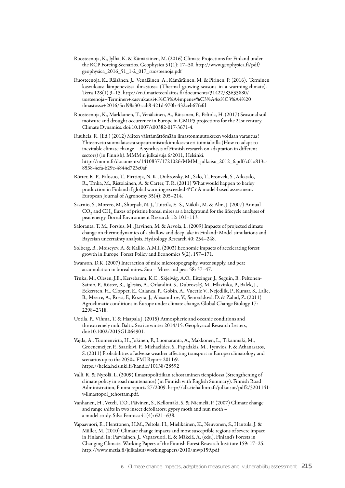- Ruosteenoja, K., Jylhä, K. & Kämäräinen, M. (2016) Climate Projections for Finland under the RCP Forcing Scenarios. Geophysica 51(1): 17–50. [http://www.geophysica.fi/pdf/](http://www.geophysica.fi/pdf/geophysica_2016_51_1-2_017_ruosteenoja.pdf) [geophysica\\_2016\\_51\\_1-2\\_017\\_ruosteenoja.pdf](http://www.geophysica.fi/pdf/geophysica_2016_51_1-2_017_ruosteenoja.pdf)
- Ruosteenoja, K., Räisänen, J., Venäläinen, A., Kämäräinen, M. & Pirinen. P. (2016). Terminen kasvukausi lämpenevässä ilmastossa (Thermal growing seasons in a warming climate). Terra 128(1) 3–15. [http://en.ilmatieteenlaitos.fi/documents/31422/83635880/](http://en.ilmatieteenlaitos.fi/documents/31422/83635880/uosteenoja%2BTerminen%2Bkasvukausi%2Bl%25C3%25A4mpenev%25C3%25A4ss%25C3%25A4%2520ilmastossa%2B2016/5cd98a30-cab8-421d-970b-432ceb67fefd) [uosteenoja+Terminen+kasvukausi+l%C3%A4mpenev%C3%A4ss%C3%A4%20](http://en.ilmatieteenlaitos.fi/documents/31422/83635880/uosteenoja%2BTerminen%2Bkasvukausi%2Bl%25C3%25A4mpenev%25C3%25A4ss%25C3%25A4%2520ilmastossa%2B2016/5cd98a30-cab8-421d-970b-432ceb67fefd) [ilmastossa+2016/5cd98a30-cab8-421d-970b-432ceb67fefd](http://en.ilmatieteenlaitos.fi/documents/31422/83635880/uosteenoja%2BTerminen%2Bkasvukausi%2Bl%25C3%25A4mpenev%25C3%25A4ss%25C3%25A4%2520ilmastossa%2B2016/5cd98a30-cab8-421d-970b-432ceb67fefd)
- Ruosteenoja, K., Markkanen, T., Venäläinen, A., Räisänen, P., Peltola, H. (2017) Seasonal soil moisture and drought occurrence in Europe in CMIP5 projections for the 21st century. Climate Dynamics. doi:10.1007/s00382-017-3671-4.
- Ruuhela, R. (Ed.) (2012) Miten väistämättömään ilmastonmuutokseen voidaan varautua? Yhteenveto suomalaisesta sopeutumistutkimuksesta eri toimialoilla (How to adapt to inevitable climate change – A synthesis of Finnish research on adaptation in different sectors) (in Finnish). MMM:n julkaisuja 6/2011, Helsinki. [http://mmm.fi/documents/1410837/1721026/MMM\\_julkaisu\\_2012\\_6.pdf/c01a813c-](http://mmm.fi/documents/1410837/1721026/MMM_julkaisu_2012_6.pdf/c01a813c-8538-4efa-b29e-4844d723c0af)[8538-4efa-b29e-4844d723c0af](http://mmm.fi/documents/1410837/1721026/MMM_julkaisu_2012_6.pdf/c01a813c-8538-4efa-b29e-4844d723c0af)
- Rötter, R. P., Palosuo, T., Pirttioja, N. K., Dubrovsky, M., Salo, T., Fronzek, S., Aikasalo, R., Trnka, M., Ristolainen, A. & Carter, T. R. (2011) What would happen to barley production in Finland if global warming exceeded 4°C? A model-based assessment. European Journal of Agronomy 35(4): 205–214.
- Saarnio, S., Morero, M., Shurpali, N. J., Tuittila, E.-S., Mäkilä, M. & Alm, J. (2007) Annual  $CO<sub>2</sub>$  and  $CH<sub>4</sub>$  fluxes of pristine boreal mires as a background for the lifecycle analyses of peat energy. Boreal Environment Research 12: 101–113.
- Saloranta, T. M., Forsius, M., Järvinen, M. & Arvola, L. (2009) Impacts of projected climate change on thermodynamics of a shallow and deep lake in Finland: Model simulations and Bayesian uncertainty analysis. Hydrology Research 40: 234–248.
- Solberg, B., Moiseyev, A. & Kallio, A.M.I. (2003) Economic impacts of accelerating forest growth in Europe. Forest Policy and Economics 5(2): 157–171.
- Swanson, D.K. (2007) Interaction of mire microtopography, water supply, and peat accumulation in boreal mires. Suo – Mires and peat 58: 37–47.
- Trnka, M., Olesen, J.E., Kersebaum, K.C., Skjelvåg, A.O., Eitzinger, J., Seguin, B., Peltonen-Sainio, P., Rötter, R., Iglesias, A., Orlandini, S., Dubrovský, M., Hlavinka, P., Balek, J., Eckersten, H., Cloppet, E., Calanca, P., Gobin, A., Vucetic V., Nejedlik, P., Kumar, S., Lalic, B., Mestre, A., Rossi, F., Kozyra, J., Alexamdrov, V., Semerádová, D. & Zalud, Z. (2011) Agroclimatic conditions in Europe under climate change. Global Change Biology 17: 2298–2318.
- Uotila, P., Vihma, T. & Haapala J. (2015) Atmospheric and oceanic conditions and the extremely mild Baltic Sea ice winter 2014/15. Geophysical Research Letters, doi:10.1002/2015GL064901.
- Vajda, A., Tuomenvirta, H., Jokinen, P., Luomaranta, A., Makkonen, L., Tikanmäki, M., Groenemeijer, P., Saarikivi, P., Michaelides, S., Papadakis, M., Tymvios, F. & Athanasatos, S. (2011) Probabilities of adverse weather affecting transport in Europe: climatology and scenarios up to the 2050s. FMI Report 2011:9. [https://helda.helsinki.fi/handle/10138/28592](https://hdl.handle.net/10138/28592
)
- Valli, R. & Nyrölä, L. (2009) Ilmastopolitiikan tehostaminen tienpidossa (Strengthening of climate policy in road maintenance) (in Finnish with English Summary). Finnish Road Administration, Finnra reports 27/2009. [http://alk.tiehallinto.fi/julkaisut/pdf2/3201141](http://alk.tiehallinto.fi/julkaisut/pdf2/3201141-v-ilmastopol_tehostam.pdf) [v-ilmastopol\\_tehostam.pdf](http://alk.tiehallinto.fi/julkaisut/pdf2/3201141-v-ilmastopol_tehostam.pdf).
- Vanhanen, H., Veteli, T.O., Päivinen, S., Kellomäki, S. & Niemelä, P. (2007) Climate change and range shifts in two insect defoliators: gypsy moth and nun moth – a model study. Silva Fennica 41(4): 621–638.
- Vapaavuori, E., Henttonen, H.M., Peltola, H., Mielikäinen, K., Neuvonen, S., Hantula, J. & Müller, M. (2010) Climate change impacts and most susceptible regions of severe impact in Finland. In: Parviainen, J., Vapaavuori, E. & Mäkelä, A. (eds.). Finland's Forests in Changing Climate. Working Papers of the Finnish Forest Research Institute 159: 17–25. <http://www.metla.fi/julkaisut/workingpapers/2010/mwp159.pdf>